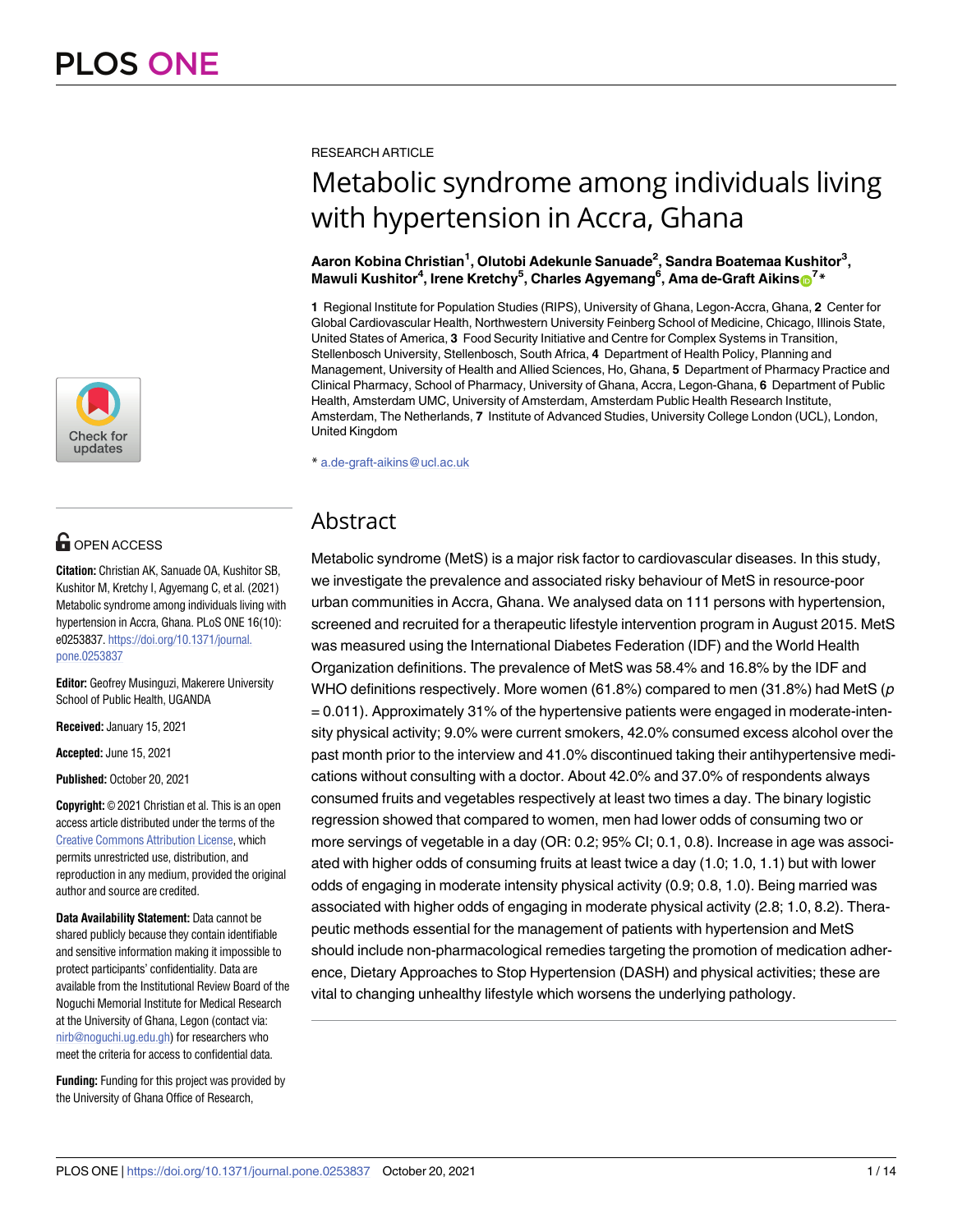

## **OPEN ACCESS**

**Citation:** Christian AK, Sanuade OA, Kushitor SB, Kushitor M, Kretchy I, Agyemang C, et al. (2021) Metabolic syndrome among individuals living with hypertension in Accra, Ghana. PLoS ONE 16(10): e0253837. [https://doi.org/10.1371/journal.](https://doi.org/10.1371/journal.pone.0253837) [pone.0253837](https://doi.org/10.1371/journal.pone.0253837)

**Editor:** Geofrey Musinguzi, Makerere University School of Public Health, UGANDA

**Received:** January 15, 2021

**Accepted:** June 15, 2021

**Published:** October 20, 2021

**Copyright:** © 2021 Christian et al. This is an open access article distributed under the terms of the Creative Commons [Attribution](http://creativecommons.org/licenses/by/4.0/) License, which permits unrestricted use, distribution, and reproduction in any medium, provided the original author and source are credited.

**Data Availability Statement:** Data cannot be shared publicly because they contain identifiable and sensitive information making it impossible to protect participants' confidentiality. Data are available from the Institutional Review Board of the Noguchi Memorial Institute for Medical Research at the University of Ghana, Legon (contact via: [nirb@noguchi.ug.edu.gh](mailto:nirb@noguchi.ug.edu.gh)) for researchers who meet the criteria for access to confidential data.

**Funding:** Funding for this project was provided by the University of Ghana Office of Research,

#### RESEARCH ARTICLE

# Metabolic syndrome among individuals living with hypertension in Accra, Ghana

#### **Aaron Kobina Christian1 , Olutobi Adekunle Sanuade2 , Sandra Boatemaa Kushitor3 ,**  $M$ awuli <code>Kushitor $^4$ , Irene Kretchy $^5$ , Charles Agyemang $^6$ , Ama de-Graft Aikins $\bullet^{7*}$ </code>

**1** Regional Institute for Population Studies (RIPS), University of Ghana, Legon-Accra, Ghana, **2** Center for Global Cardiovascular Health, Northwestern University Feinberg School of Medicine, Chicago, Illinois State, United States of America, **3** Food Security Initiative and Centre for Complex Systems in Transition, Stellenbosch University, Stellenbosch, South Africa, **4** Department of Health Policy, Planning and Management, University of Health and Allied Sciences, Ho, Ghana, **5** Department of Pharmacy Practice and Clinical Pharmacy, School of Pharmacy, University of Ghana, Accra, Legon-Ghana, **6** Department of Public Health, Amsterdam UMC, University of Amsterdam, Amsterdam Public Health Research Institute, Amsterdam, The Netherlands, **7** Institute of Advanced Studies, University College London (UCL), London, United Kingdom

\* a.de-graft-aikins@ucl.ac.uk

## Abstract

Metabolic syndrome (MetS) is a major risk factor to cardiovascular diseases. In this study, we investigate the prevalence and associated risky behaviour of MetS in resource-poor urban communities in Accra, Ghana. We analysed data on 111 persons with hypertension, screened and recruited for a therapeutic lifestyle intervention program in August 2015. MetS was measured using the International Diabetes Federation (IDF) and the World Health Organization definitions. The prevalence of MetS was 58.4% and 16.8% by the IDF and WHO definitions respectively. More women (61.8%) compared to men (31.8%) had MetS ( $p$ = 0.011). Approximately 31% of the hypertensive patients were engaged in moderate-intensity physical activity; 9.0% were current smokers, 42.0% consumed excess alcohol over the past month prior to the interview and 41.0% discontinued taking their antihypertensive medications without consulting with a doctor. About 42.0% and 37.0% of respondents always consumed fruits and vegetables respectively at least two times a day. The binary logistic regression showed that compared to women, men had lower odds of consuming two or more servings of vegetable in a day (OR: 0.2; 95% CI; 0.1, 0.8). Increase in age was associated with higher odds of consuming fruits at least twice a day (1.0; 1.0, 1.1) but with lower odds of engaging in moderate intensity physical activity (0.9; 0.8, 1.0). Being married was associated with higher odds of engaging in moderate physical activity (2.8; 1.0, 8.2). Therapeutic methods essential for the management of patients with hypertension and MetS should include non-pharmacological remedies targeting the promotion of medication adherence, Dietary Approaches to Stop Hypertension (DASH) and physical activities; these are vital to changing unhealthy lifestyle which worsens the underlying pathology.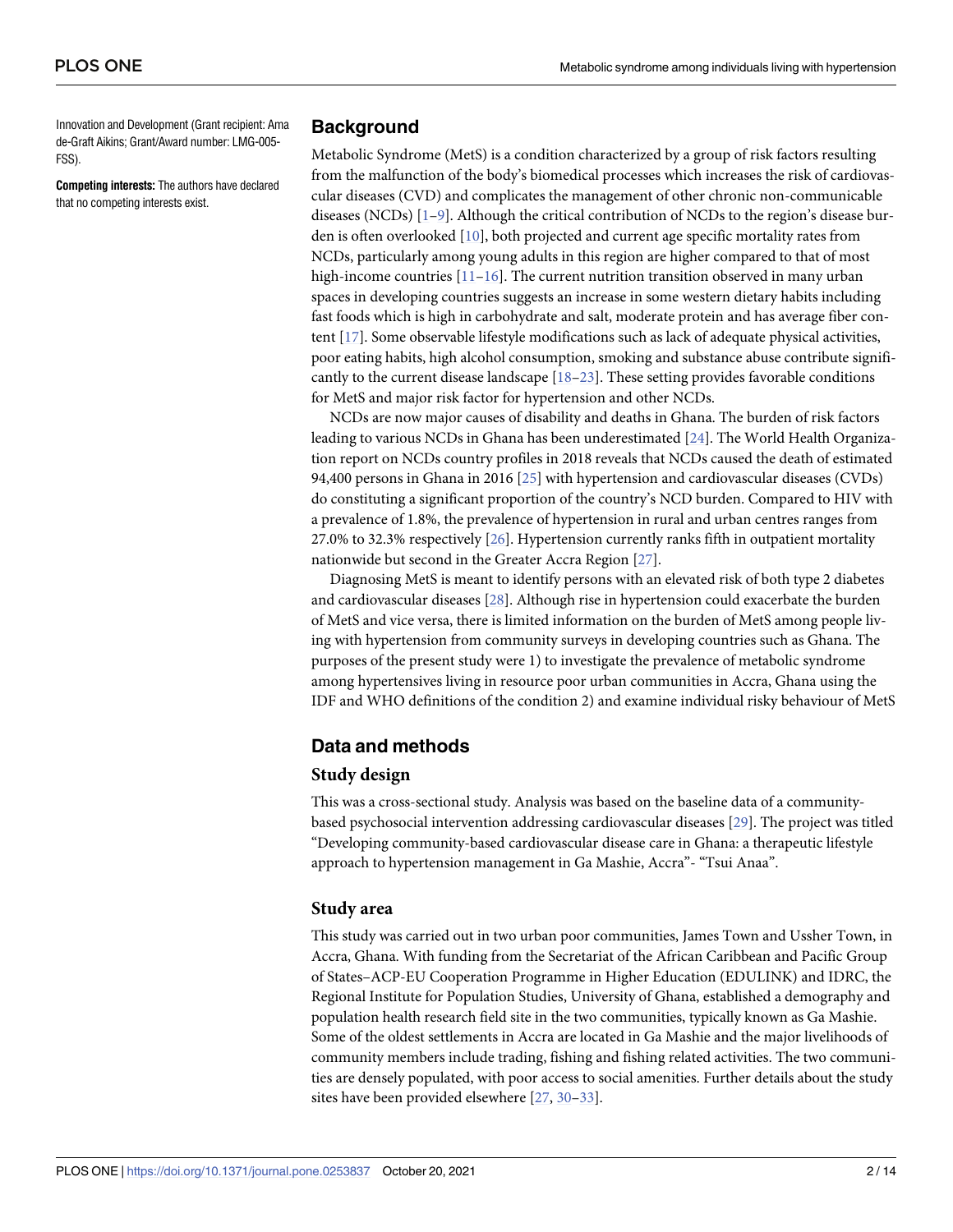<span id="page-1-0"></span>Innovation and Development (Grant recipient: Ama de-Graft Aikins; Grant/Award number: LMG-005- FSS).

**Competing interests:** The authors have declared that no competing interests exist.

### **Background**

Metabolic Syndrome (MetS) is a condition characterized by a group of risk factors resulting from the malfunction of the body's biomedical processes which increases the risk of cardiovascular diseases (CVD) and complicates the management of other chronic non-communicable diseases (NCDs) [\[1–9\]](#page-10-0). Although the critical contribution of NCDs to the region's disease burden is often overlooked [[10](#page-10-0)], both projected and current age specific mortality rates from NCDs, particularly among young adults in this region are higher compared to that of most high-income countries  $[11–16]$ . The current nutrition transition observed in many urban spaces in developing countries suggests an increase in some western dietary habits including fast foods which is high in carbohydrate and salt, moderate protein and has average fiber content [\[17\]](#page-10-0). Some observable lifestyle modifications such as lack of adequate physical activities, poor eating habits, high alcohol consumption, smoking and substance abuse contribute significantly to the current disease landscape [[18](#page-10-0)–[23](#page-11-0)]. These setting provides favorable conditions for MetS and major risk factor for hypertension and other NCDs.

NCDs are now major causes of disability and deaths in Ghana. The burden of risk factors leading to various NCDs in Ghana has been underestimated [\[24\]](#page-11-0). The World Health Organization report on NCDs country profiles in 2018 reveals that NCDs caused the death of estimated 94,400 persons in Ghana in 2016 [\[25\]](#page-11-0) with hypertension and cardiovascular diseases (CVDs) do constituting a significant proportion of the country's NCD burden. Compared to HIV with a prevalence of 1.8%, the prevalence of hypertension in rural and urban centres ranges from 27.0% to 32.3% respectively [\[26\]](#page-11-0). Hypertension currently ranks fifth in outpatient mortality nationwide but second in the Greater Accra Region [\[27\]](#page-11-0).

Diagnosing MetS is meant to identify persons with an elevated risk of both type 2 diabetes and cardiovascular diseases [[28](#page-11-0)]. Although rise in hypertension could exacerbate the burden of MetS and vice versa, there is limited information on the burden of MetS among people living with hypertension from community surveys in developing countries such as Ghana. The purposes of the present study were 1) to investigate the prevalence of metabolic syndrome among hypertensives living in resource poor urban communities in Accra, Ghana using the IDF and WHO definitions of the condition 2) and examine individual risky behaviour of MetS

## **Data and methods**

#### **Study design**

This was a cross-sectional study. Analysis was based on the baseline data of a communitybased psychosocial intervention addressing cardiovascular diseases [\[29\]](#page-11-0). The project was titled "Developing community-based cardiovascular disease care in Ghana: a therapeutic lifestyle approach to hypertension management in Ga Mashie, Accra"- "Tsui Anaa".

#### **Study area**

This study was carried out in two urban poor communities, James Town and Ussher Town, in Accra, Ghana. With funding from the Secretariat of the African Caribbean and Pacific Group of States–ACP-EU Cooperation Programme in Higher Education (EDULINK) and IDRC, the Regional Institute for Population Studies, University of Ghana, established a demography and population health research field site in the two communities, typically known as Ga Mashie. Some of the oldest settlements in Accra are located in Ga Mashie and the major livelihoods of community members include trading, fishing and fishing related activities. The two communities are densely populated, with poor access to social amenities. Further details about the study sites have been provided elsewhere [[27](#page-11-0), [30–33\]](#page-11-0).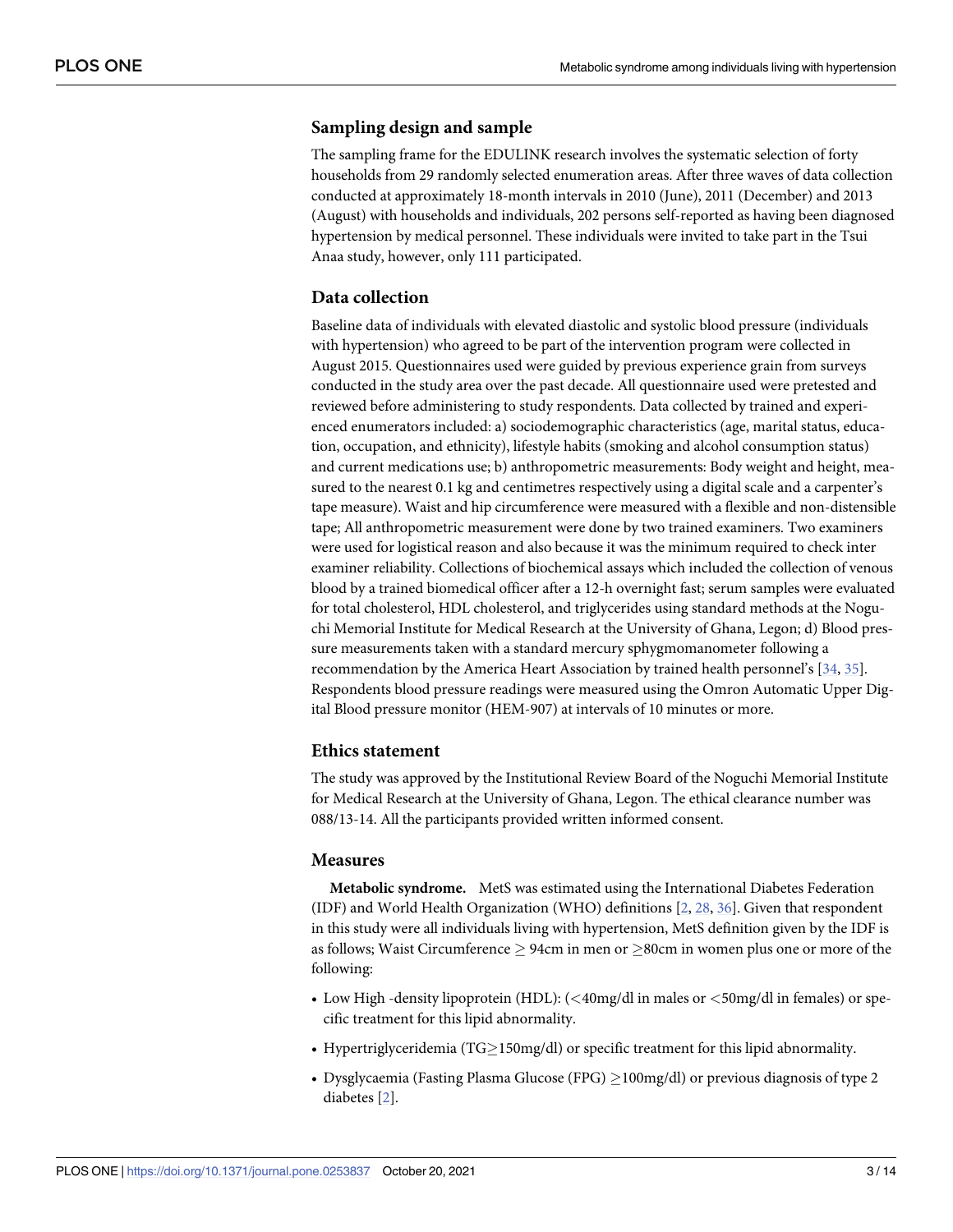### <span id="page-2-0"></span>**Sampling design and sample**

The sampling frame for the EDULINK research involves the systematic selection of forty households from 29 randomly selected enumeration areas. After three waves of data collection conducted at approximately 18-month intervals in 2010 (June), 2011 (December) and 2013 (August) with households and individuals, 202 persons self-reported as having been diagnosed hypertension by medical personnel. These individuals were invited to take part in the Tsui Anaa study, however, only 111 participated.

#### **Data collection**

Baseline data of individuals with elevated diastolic and systolic blood pressure (individuals with hypertension) who agreed to be part of the intervention program were collected in August 2015. Questionnaires used were guided by previous experience grain from surveys conducted in the study area over the past decade. All questionnaire used were pretested and reviewed before administering to study respondents. Data collected by trained and experienced enumerators included: a) sociodemographic characteristics (age, marital status, education, occupation, and ethnicity), lifestyle habits (smoking and alcohol consumption status) and current medications use; b) anthropometric measurements: Body weight and height, measured to the nearest 0.1 kg and centimetres respectively using a digital scale and a carpenter's tape measure). Waist and hip circumference were measured with a flexible and non-distensible tape; All anthropometric measurement were done by two trained examiners. Two examiners were used for logistical reason and also because it was the minimum required to check inter examiner reliability. Collections of biochemical assays which included the collection of venous blood by a trained biomedical officer after a 12-h overnight fast; serum samples were evaluated for total cholesterol, HDL cholesterol, and triglycerides using standard methods at the Noguchi Memorial Institute for Medical Research at the University of Ghana, Legon; d) Blood pressure measurements taken with a standard mercury sphygmomanometer following a recommendation by the America Heart Association by trained health personnel's [[34](#page-11-0), [35](#page-11-0)]. Respondents blood pressure readings were measured using the Omron Automatic Upper Digital Blood pressure monitor (HEM-907) at intervals of 10 minutes or more.

#### **Ethics statement**

The study was approved by the Institutional Review Board of the Noguchi Memorial Institute for Medical Research at the University of Ghana, Legon. The ethical clearance number was 088/13-14. All the participants provided written informed consent.

#### **Measures**

**Metabolic syndrome.** MetS was estimated using the International Diabetes Federation (IDF) and World Health Organization (WHO) definitions [[2](#page-10-0), [28](#page-11-0), [36](#page-11-0)]. Given that respondent in this study were all individuals living with hypertension, MetS definition given by the IDF is as follows; Waist Circumference  $\geq$  94cm in men or  $\geq$ 80cm in women plus one or more of the following:

- Low High -density lipoprotein (HDL): (*<*40mg/dl in males or *<*50mg/dl in females) or specific treatment for this lipid abnormality.
- Hypertriglyceridemia (TG $\geq$ 150mg/dl) or specific treatment for this lipid abnormality.
- Dysglycaemia (Fasting Plasma Glucose (FPG)  $\geq$  100mg/dl) or previous diagnosis of type 2 diabetes [[2\]](#page-10-0).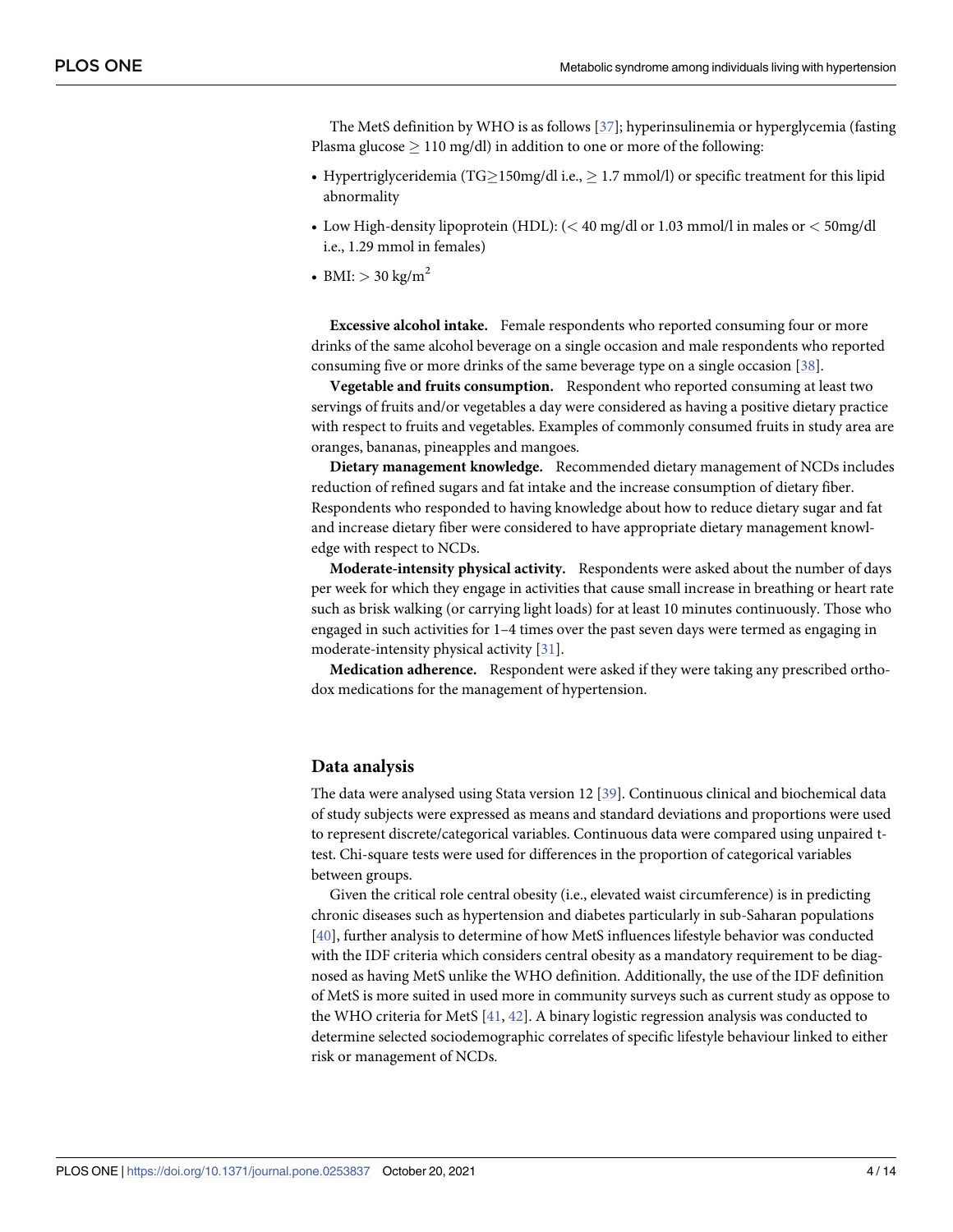<span id="page-3-0"></span>The MetS definition by WHO is as follows [\[37\]](#page-11-0); hyperinsulinemia or hyperglycemia (fasting Plasma glucose  $\geq 110$  mg/dl) in addition to one or more of the following:

- Hypertriglyceridemia (TG $\geq$ 150mg/dl i.e.,  $\geq$  1.7 mmol/l) or specific treatment for this lipid abnormality
- Low High-density lipoprotein (HDL): (*<* 40 mg/dl or 1.03 mmol/l in males or *<* 50mg/dl i.e., 1.29 mmol in females)
- BMI:  $> 30 \text{ kg/m}^2$

**Excessive alcohol intake.** Female respondents who reported consuming four or more drinks of the same alcohol beverage on a single occasion and male respondents who reported consuming five or more drinks of the same beverage type on a single occasion [\[38\]](#page-11-0).

**Vegetable and fruits consumption.** Respondent who reported consuming at least two servings of fruits and/or vegetables a day were considered as having a positive dietary practice with respect to fruits and vegetables. Examples of commonly consumed fruits in study area are oranges, bananas, pineapples and mangoes.

**Dietary management knowledge.** Recommended dietary management of NCDs includes reduction of refined sugars and fat intake and the increase consumption of dietary fiber. Respondents who responded to having knowledge about how to reduce dietary sugar and fat and increase dietary fiber were considered to have appropriate dietary management knowledge with respect to NCDs.

**Moderate-intensity physical activity.** Respondents were asked about the number of days per week for which they engage in activities that cause small increase in breathing or heart rate such as brisk walking (or carrying light loads) for at least 10 minutes continuously. Those who engaged in such activities for 1–4 times over the past seven days were termed as engaging in moderate-intensity physical activity [[31](#page-11-0)].

**Medication adherence.** Respondent were asked if they were taking any prescribed orthodox medications for the management of hypertension.

#### **Data analysis**

The data were analysed using Stata version 12 [[39](#page-11-0)]. Continuous clinical and biochemical data of study subjects were expressed as means and standard deviations and proportions were used to represent discrete/categorical variables. Continuous data were compared using unpaired ttest. Chi-square tests were used for differences in the proportion of categorical variables between groups.

Given the critical role central obesity (i.e., elevated waist circumference) is in predicting chronic diseases such as hypertension and diabetes particularly in sub-Saharan populations [\[40\]](#page-11-0), further analysis to determine of how MetS influences lifestyle behavior was conducted with the IDF criteria which considers central obesity as a mandatory requirement to be diagnosed as having MetS unlike the WHO definition. Additionally, the use of the IDF definition of MetS is more suited in used more in community surveys such as current study as oppose to the WHO criteria for MetS [[41](#page-11-0), [42](#page-11-0)]. A binary logistic regression analysis was conducted to determine selected sociodemographic correlates of specific lifestyle behaviour linked to either risk or management of NCDs.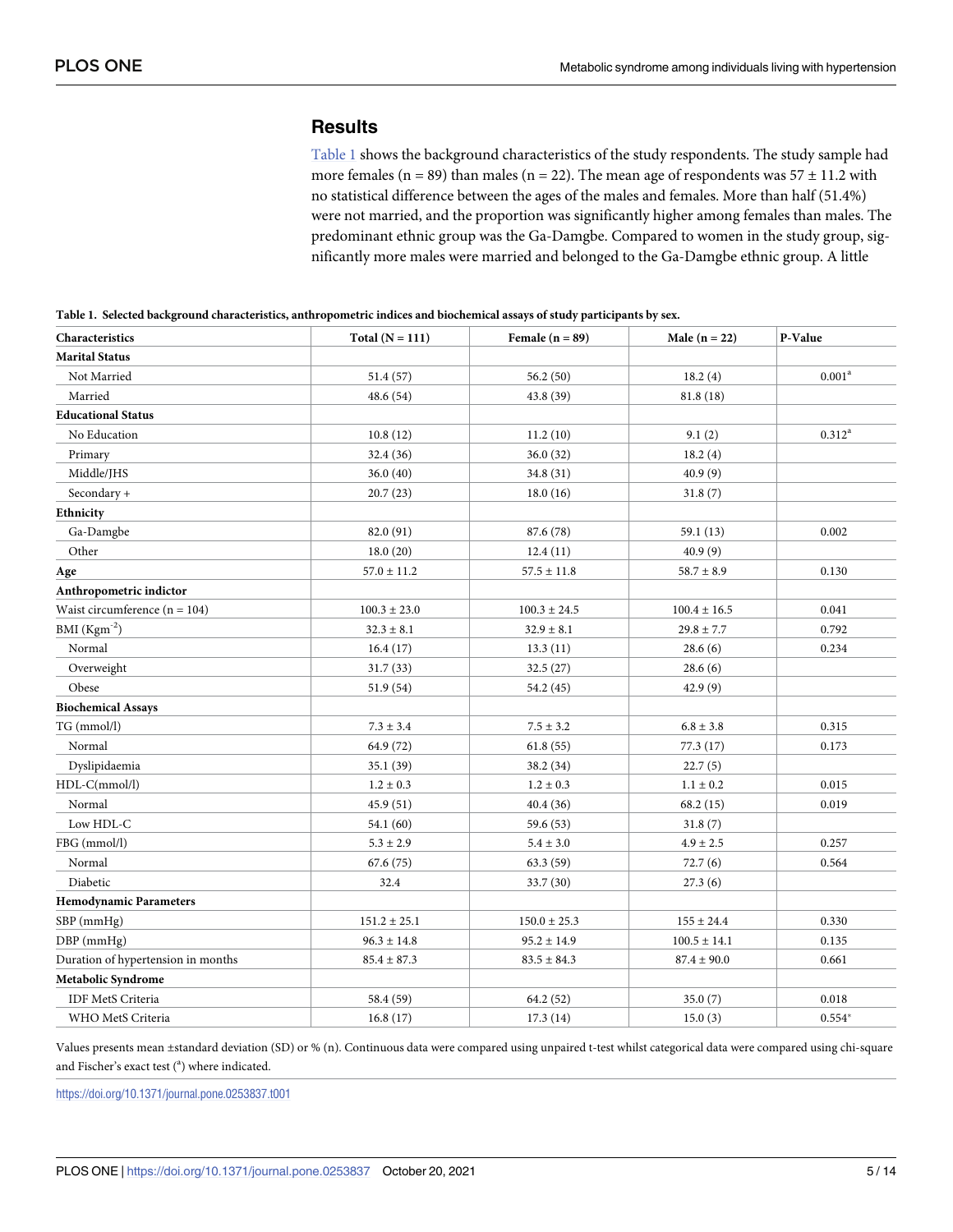## **Results**

Table 1 shows the background characteristics of the study respondents. The study sample had more females (n = 89) than males (n = 22). The mean age of respondents was  $57 \pm 11.2$  with no statistical difference between the ages of the males and females. More than half (51.4%) were not married, and the proportion was significantly higher among females than males. The predominant ethnic group was the Ga-Damgbe. Compared to women in the study group, significantly more males were married and belonged to the Ga-Damgbe ethnic group. A little

| Table 1. Selected background characteristics, anthropometric indices and biochemical assays of study participants by sex. |  |  |
|---------------------------------------------------------------------------------------------------------------------------|--|--|
|                                                                                                                           |  |  |

| Characteristics                    | Total $(N = 111)$ | Female $(n = 89)$ | Male $(n = 22)$  | P-Value            |
|------------------------------------|-------------------|-------------------|------------------|--------------------|
| <b>Marital Status</b>              |                   |                   |                  |                    |
| Not Married                        | 51.4(57)          | 56.2 (50)         | 18.2(4)          | 0.001 <sup>a</sup> |
| Married                            | 48.6(54)          | 43.8 (39)         | 81.8(18)         |                    |
| <b>Educational Status</b>          |                   |                   |                  |                    |
| No Education                       | 10.8(12)          | 11.2(10)          | 9.1(2)           | $0.312^a$          |
| Primary                            | 32.4 (36)         | 36.0(32)          | 18.2(4)          |                    |
| Middle/JHS                         | 36.0(40)          | 34.8 (31)         | 40.9(9)          |                    |
| Secondary +                        | 20.7(23)          | 18.0(16)          | 31.8(7)          |                    |
| Ethnicity                          |                   |                   |                  |                    |
| Ga-Damgbe                          | 82.0 (91)         | 87.6 (78)         | 59.1(13)         | 0.002              |
| Other                              | 18.0(20)          | 12.4(11)          | 40.9(9)          |                    |
| Age                                | $57.0 \pm 11.2$   | $57.5 \pm 11.8$   | $58.7 \pm 8.9$   | 0.130              |
| Anthropometric indictor            |                   |                   |                  |                    |
| Waist circumference $(n = 104)$    | $100.3\pm23.0$    | $100.3\pm24.5$    | $100.4 \pm 16.5$ | 0.041              |
| BMI $(Kgm^{-2})$                   | $32.3 \pm 8.1$    | $32.9 \pm 8.1$    | $29.8 \pm 7.7$   | 0.792              |
| Normal                             | 16.4(17)          | 13.3(11)          | 28.6(6)          | 0.234              |
| Overweight                         | 31.7(33)          | 32.5(27)          | 28.6(6)          |                    |
| Obese                              | 51.9(54)          | 54.2 (45)         | 42.9(9)          |                    |
| <b>Biochemical Assays</b>          |                   |                   |                  |                    |
| TG (mmol/l)                        | $7.3 \pm 3.4$     | $7.5 \pm 3.2$     | $6.8 \pm 3.8$    | 0.315              |
| Normal                             | 64.9 (72)         | 61.8(55)          | 77.3(17)         | 0.173              |
| Dyslipidaemia                      | 35.1(39)          | 38.2 (34)         | 22.7(5)          |                    |
| HDL-C(mmol/l)                      | $1.2 \pm 0.3$     | $1.2 \pm 0.3$     | $1.1 \pm 0.2$    | 0.015              |
| Normal                             | 45.9(51)          | 40.4(36)          | 68.2 (15)        | 0.019              |
| Low HDL-C                          | 54.1 (60)         | 59.6 (53)         | 31.8(7)          |                    |
| FBG (mmol/l)                       | $5.3 \pm 2.9$     | $5.4 \pm 3.0$     | $4.9 \pm 2.5$    | 0.257              |
| Normal                             | 67.6(75)          | 63.3(59)          | 72.7(6)          | 0.564              |
| Diabetic                           | 32.4              | 33.7 (30)         | 27.3(6)          |                    |
| <b>Hemodynamic Parameters</b>      |                   |                   |                  |                    |
| SBP (mmHg)                         | $151.2 \pm 25.1$  | $150.0 \pm 25.3$  | $155\pm24.4$     | 0.330              |
| DBP (mmHg)                         | $96.3 \pm 14.8$   | $95.2 \pm 14.9$   | $100.5 \pm 14.1$ | 0.135              |
| Duration of hypertension in months | $85.4 \pm 87.3$   | $83.5 \pm 84.3$   | $87.4 \pm 90.0$  | 0.661              |
| Metabolic Syndrome                 |                   |                   |                  |                    |
| <b>IDF MetS Criteria</b>           | 58.4 (59)         | 64.2 (52)         | 35.0(7)          | 0.018              |
| WHO MetS Criteria                  | 16.8(17)          | 17.3(14)          | 15.0(3)          | $0.554*$           |

Values presents mean ±standard deviation (SD) or % (n). Continuous data were compared using unpaired t-test whilst categorical data were compared using chi-square and Fischer's exact test (<sup>a</sup>) where indicated.

<https://doi.org/10.1371/journal.pone.0253837.t001>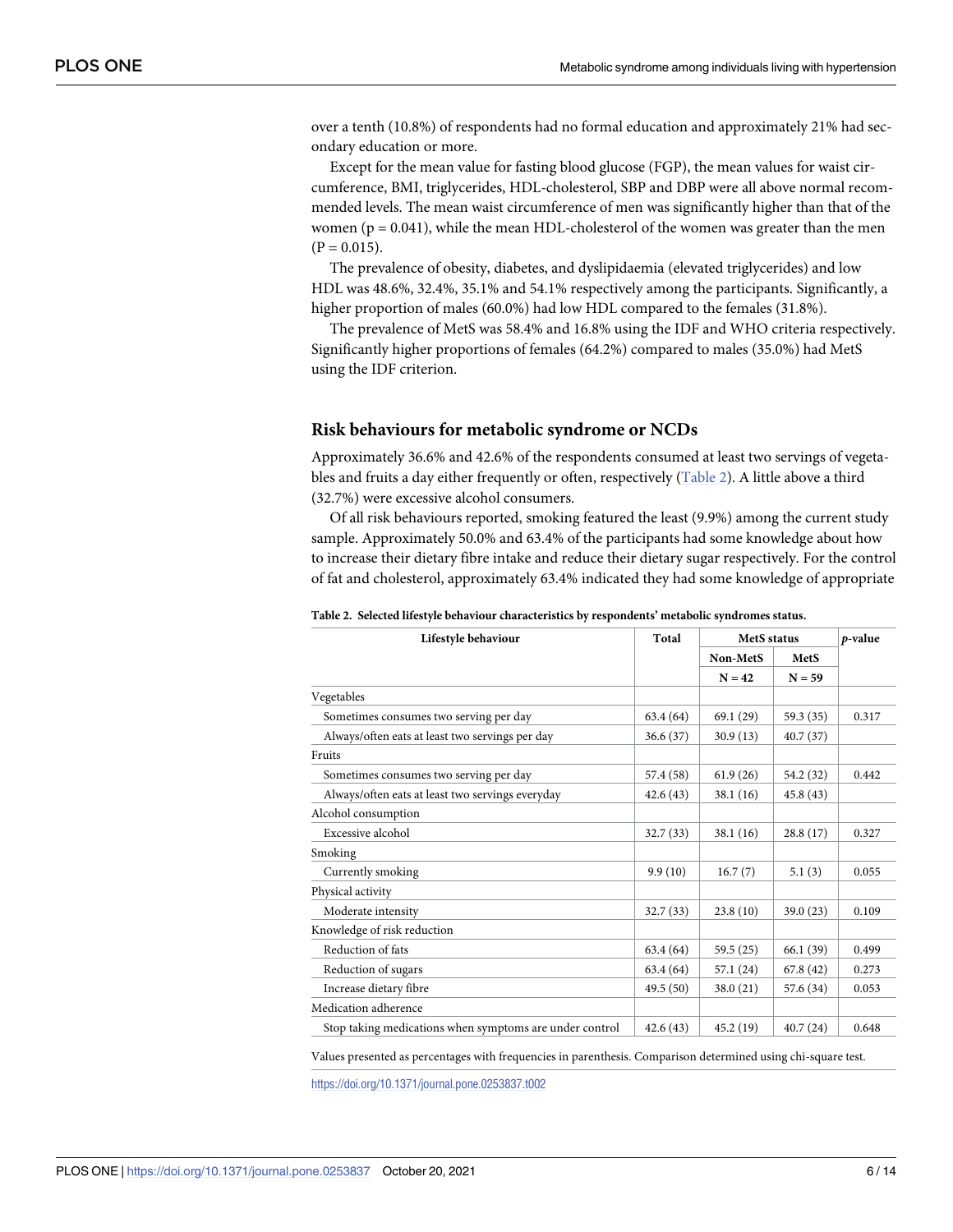over a tenth (10.8%) of respondents had no formal education and approximately 21% had secondary education or more.

Except for the mean value for fasting blood glucose (FGP), the mean values for waist circumference, BMI, triglycerides, HDL-cholesterol, SBP and DBP were all above normal recommended levels. The mean waist circumference of men was significantly higher than that of the women ( $p = 0.041$ ), while the mean HDL-cholesterol of the women was greater than the men  $(P = 0.015)$ .

The prevalence of obesity, diabetes, and dyslipidaemia (elevated triglycerides) and low HDL was 48.6%, 32.4%, 35.1% and 54.1% respectively among the participants. Significantly, a higher proportion of males (60.0%) had low HDL compared to the females (31.8%).

The prevalence of MetS was 58.4% and 16.8% using the IDF and WHO criteria respectively. Significantly higher proportions of females (64.2%) compared to males (35.0%) had MetS using the IDF criterion.

#### **Risk behaviours for metabolic syndrome or NCDs**

Approximately 36.6% and 42.6% of the respondents consumed at least two servings of vegetables and fruits a day either frequently or often, respectively (Table 2). A little above a third (32.7%) were excessive alcohol consumers.

Of all risk behaviours reported, smoking featured the least (9.9%) among the current study sample. Approximately 50.0% and 63.4% of the participants had some knowledge about how to increase their dietary fibre intake and reduce their dietary sugar respectively. For the control of fat and cholesterol, approximately 63.4% indicated they had some knowledge of appropriate

| Lifestyle behaviour                                     | Total     | <b>MetS</b> status |           | p-value |
|---------------------------------------------------------|-----------|--------------------|-----------|---------|
|                                                         |           | Non-MetS           | MetS      |         |
|                                                         |           | $N = 42$           | $N = 59$  |         |
| Vegetables                                              |           |                    |           |         |
| Sometimes consumes two serving per day                  | 63.4 (64) | 69.1(29)           | 59.3 (35) | 0.317   |
| Always/often eats at least two servings per day         | 36.6(37)  | 30.9(13)           | 40.7(37)  |         |
| Fruits                                                  |           |                    |           |         |
| Sometimes consumes two serving per day                  | 57.4 (58) | 61.9(26)           | 54.2 (32) | 0.442   |
| Always/often eats at least two servings everyday        | 42.6(43)  | 38.1(16)           | 45.8 (43) |         |
| Alcohol consumption                                     |           |                    |           |         |
| Excessive alcohol                                       | 32.7(33)  | 38.1(16)           | 28.8(17)  | 0.327   |
| Smoking                                                 |           |                    |           |         |
| Currently smoking                                       | 9.9(10)   | 16.7(7)            | 5.1(3)    | 0.055   |
| Physical activity                                       |           |                    |           |         |
| Moderate intensity                                      | 32.7(33)  | 23.8(10)           | 39.0 (23) | 0.109   |
| Knowledge of risk reduction                             |           |                    |           |         |
| Reduction of fats                                       | 63.4 (64) | 59.5(25)           | 66.1 (39) | 0.499   |
| Reduction of sugars                                     | 63.4 (64) | 57.1 (24)          | 67.8(42)  | 0.273   |
| Increase dietary fibre                                  | 49.5(50)  | 38.0(21)           | 57.6 (34) | 0.053   |
| Medication adherence                                    |           |                    |           |         |
| Stop taking medications when symptoms are under control | 42.6(43)  | 45.2 (19)          | 40.7(24)  | 0.648   |

**Table 2. Selected lifestyle behaviour characteristics by respondents' metabolic syndromes status.**

Values presented as percentages with frequencies in parenthesis. Comparison determined using chi-square test.

<https://doi.org/10.1371/journal.pone.0253837.t002>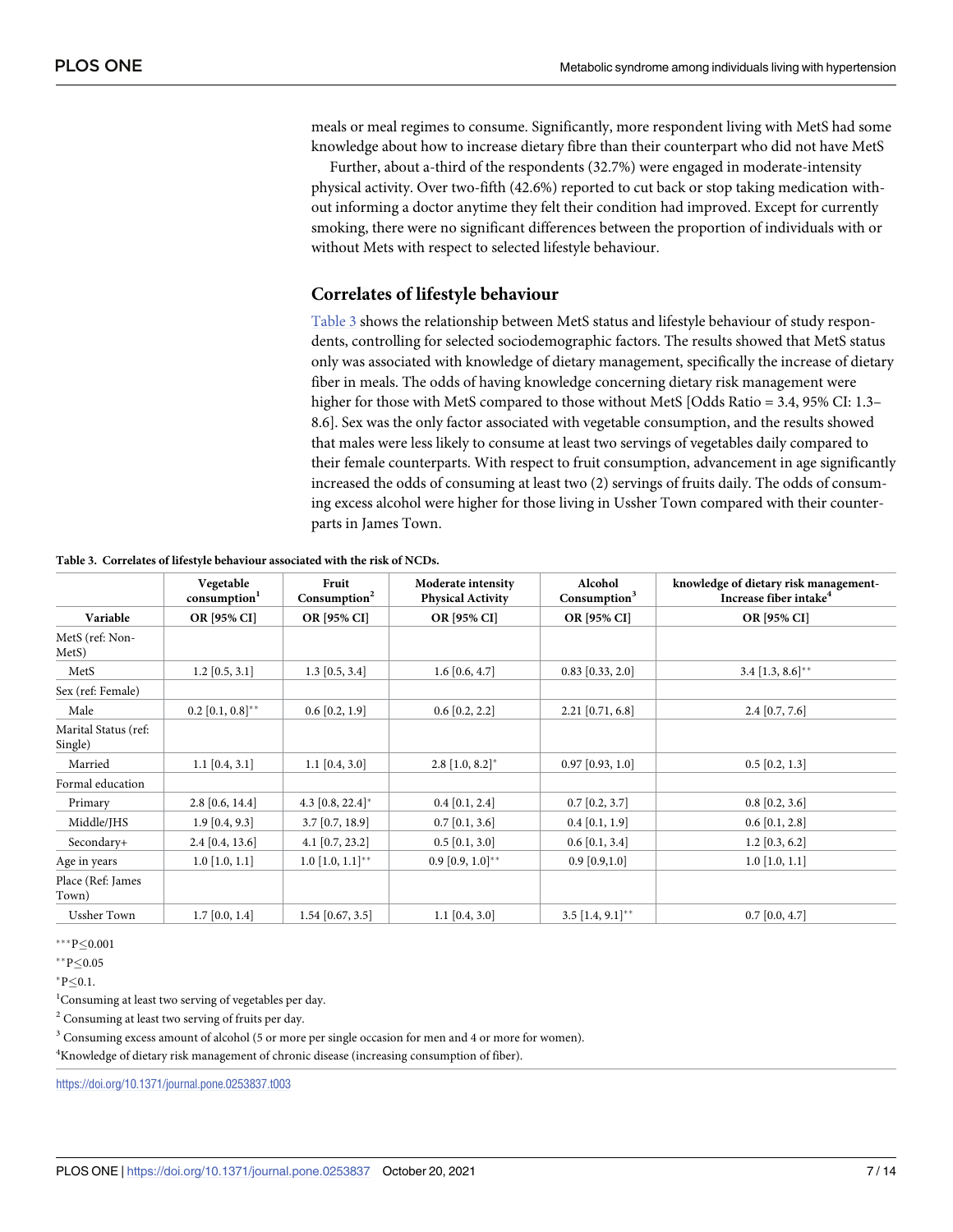meals or meal regimes to consume. Significantly, more respondent living with MetS had some knowledge about how to increase dietary fibre than their counterpart who did not have MetS

Further, about a-third of the respondents (32.7%) were engaged in moderate-intensity physical activity. Over two-fifth (42.6%) reported to cut back or stop taking medication without informing a doctor anytime they felt their condition had improved. Except for currently smoking, there were no significant differences between the proportion of individuals with or without Mets with respect to selected lifestyle behaviour.

#### **Correlates of lifestyle behaviour**

Table 3 shows the relationship between MetS status and lifestyle behaviour of study respondents, controlling for selected sociodemographic factors. The results showed that MetS status only was associated with knowledge of dietary management, specifically the increase of dietary fiber in meals. The odds of having knowledge concerning dietary risk management were higher for those with MetS compared to those without MetS [Odds Ratio = 3.4, 95% CI: 1.3– 8.6]. Sex was the only factor associated with vegetable consumption, and the results showed that males were less likely to consume at least two servings of vegetables daily compared to their female counterparts. With respect to fruit consumption, advancement in age significantly increased the odds of consuming at least two (2) servings of fruits daily. The odds of consuming excess alcohol were higher for those living in Ussher Town compared with their counterparts in James Town.

|                                       | Vegetable<br>consumption <sup>1</sup> | Fruit<br>Consumption <sup>2</sup> | Moderate intensity<br><b>Physical Activity</b> | Alcohol<br>Consumption <sup>3</sup> | knowledge of dietary risk management-<br>Increase fiber intake <sup>4</sup> |
|---------------------------------------|---------------------------------------|-----------------------------------|------------------------------------------------|-------------------------------------|-----------------------------------------------------------------------------|
| Variable                              | OR [95% CI]                           | OR [95% CI]                       | OR [95% CI]                                    | OR [95% CI]                         | OR [95% CI]                                                                 |
| MetS (ref: Non-<br>Met <sub>S</sub> ) |                                       |                                   |                                                |                                     |                                                                             |
| MetS                                  | $1.2$ [0.5, 3.1]                      | $1.3$ [0.5, 3.4]                  | $1.6$ [0.6, 4.7]                               | $0.83$ [0.33, 2.0]                  | $3.4$ [1.3, 8.6]**                                                          |
| Sex (ref: Female)                     |                                       |                                   |                                                |                                     |                                                                             |
| Male                                  | $0.2$ [0.1, $0.8$ ]**                 | $0.6$ [0.2, 1.9]                  | $0.6$ [0.2, 2.2]                               | $2.21$ [0.71, 6.8]                  | $2.4$ [0.7, 7.6]                                                            |
| Marital Status (ref:<br>Single)       |                                       |                                   |                                                |                                     |                                                                             |
| Married                               | $1.1$ [0.4, 3.1]                      | $1.1$ [0.4, 3.0]                  | $2.8$ [1.0, 8.2]*                              | $0.97$ [0.93, 1.0]                  | $0.5$ [0.2, 1.3]                                                            |
| Formal education                      |                                       |                                   |                                                |                                     |                                                                             |
| Primary                               | $2.8$ [0.6, 14.4]                     | 4.3 $[0.8, 22.4]^*$               | $0.4$ [0.1, 2.4]                               | $0.7$ [0.2, 3.7]                    | $0.8$ [0.2, 3.6]                                                            |
| Middle/JHS                            | $1.9$ [0.4, 9.3]                      | $3.7$ [0.7, 18.9]                 | $0.7$ [0.1, 3.6]                               | $0.4$ [0.1, 1.9]                    | $0.6$ [0.1, 2.8]                                                            |
| Secondary+                            | $2.4$ [0.4, 13.6]                     | 4.1 $[0.7, 23.2]$                 | $0.5$ [0.1, 3.0]                               | $0.6$ [0.1, 3.4]                    | $1.2$ [0.3, 6.2]                                                            |
| Age in years                          | $1.0$ [1.0, 1.1]                      | $1.0$ [1.0, $1.1$ ]**             | $0.9\ [0.9, 1.0]^{**}$                         | $0.9$ [0.9,1.0]                     | $1.0$ [1.0, 1.1]                                                            |
| Place (Ref: James<br>Town)            |                                       |                                   |                                                |                                     |                                                                             |
| <b>Ussher Town</b>                    | $1.7$ [0.0, 1.4]                      | $1.54$ [0.67, 3.5]                | $1.1$ [0.4, 3.0]                               | $3.5$ [1.4, 9.1]**                  | $0.7$ [0.0, 4.7]                                                            |

**Table 3. Correlates of lifestyle behaviour associated with the risk of NCDs.**

 $***P<0.001$ 

 $*$  $P < 0.05$ 

 $*P < 0.1$ .

<sup>1</sup>Consuming at least two serving of vegetables per day.

<sup>2</sup> Consuming at least two serving of fruits per day.

<sup>3</sup> Consuming excess amount of alcohol (5 or more per single occasion for men and 4 or more for women).

<sup>4</sup> Knowledge of dietary risk management of chronic disease (increasing consumption of fiber).

<https://doi.org/10.1371/journal.pone.0253837.t003>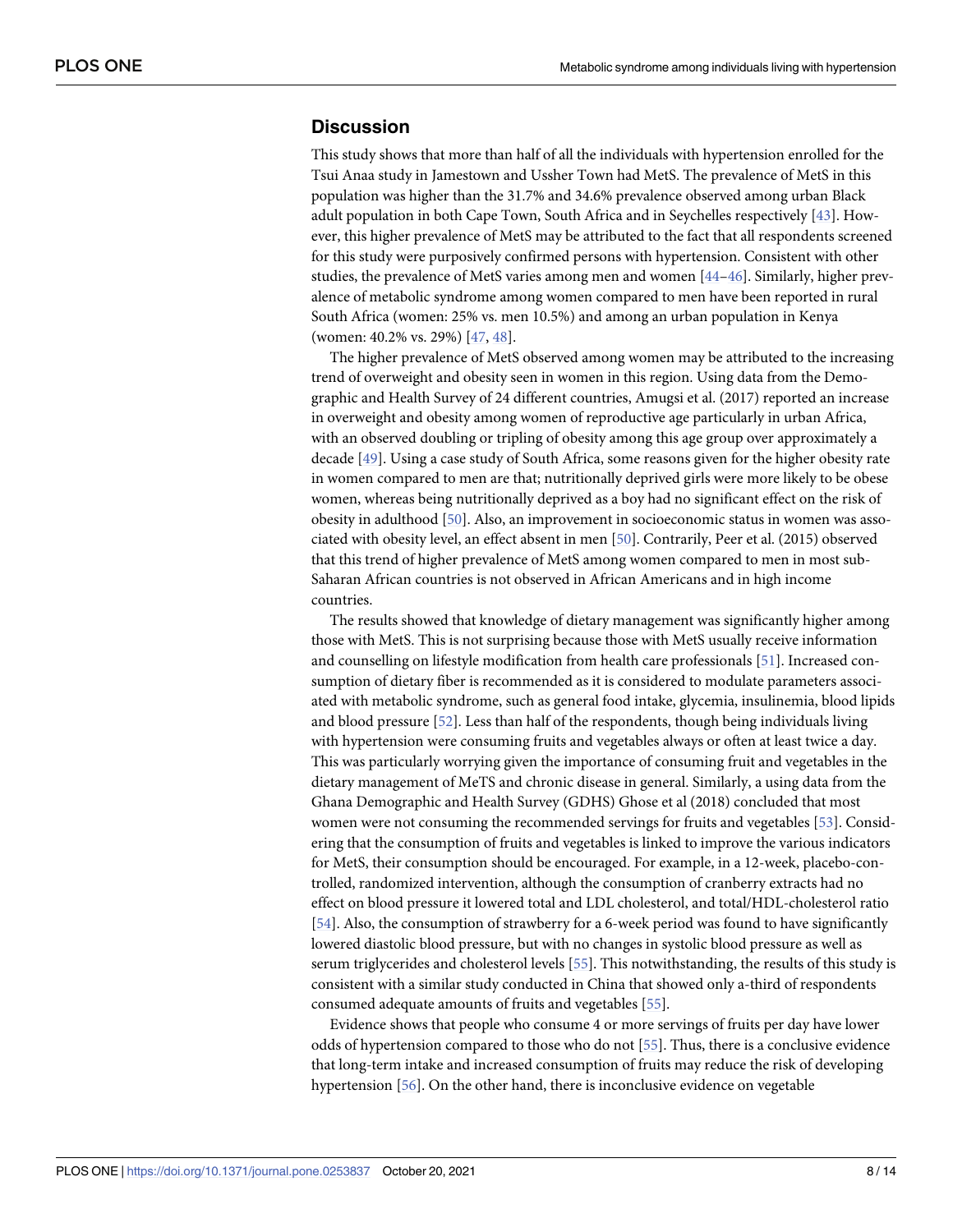#### <span id="page-7-0"></span>**Discussion**

This study shows that more than half of all the individuals with hypertension enrolled for the Tsui Anaa study in Jamestown and Ussher Town had MetS. The prevalence of MetS in this population was higher than the 31.7% and 34.6% prevalence observed among urban Black adult population in both Cape Town, South Africa and in Seychelles respectively [[43](#page-11-0)]. However, this higher prevalence of MetS may be attributed to the fact that all respondents screened for this study were purposively confirmed persons with hypertension. Consistent with other studies, the prevalence of MetS varies among men and women [\[44–46](#page-12-0)]. Similarly, higher prevalence of metabolic syndrome among women compared to men have been reported in rural South Africa (women: 25% vs. men 10.5%) and among an urban population in Kenya (women: 40.2% vs. 29%) [[47](#page-12-0), [48](#page-12-0)].

The higher prevalence of MetS observed among women may be attributed to the increasing trend of overweight and obesity seen in women in this region. Using data from the Demographic and Health Survey of 24 different countries, Amugsi et al. (2017) reported an increase in overweight and obesity among women of reproductive age particularly in urban Africa, with an observed doubling or tripling of obesity among this age group over approximately a decade [\[49\]](#page-12-0). Using a case study of South Africa, some reasons given for the higher obesity rate in women compared to men are that; nutritionally deprived girls were more likely to be obese women, whereas being nutritionally deprived as a boy had no significant effect on the risk of obesity in adulthood [\[50\]](#page-12-0). Also, an improvement in socioeconomic status in women was associated with obesity level, an effect absent in men [\[50\]](#page-12-0). Contrarily, Peer et al. (2015) observed that this trend of higher prevalence of MetS among women compared to men in most sub-Saharan African countries is not observed in African Americans and in high income countries.

The results showed that knowledge of dietary management was significantly higher among those with MetS. This is not surprising because those with MetS usually receive information and counselling on lifestyle modification from health care professionals [\[51\]](#page-12-0). Increased consumption of dietary fiber is recommended as it is considered to modulate parameters associated with metabolic syndrome, such as general food intake, glycemia, insulinemia, blood lipids and blood pressure [[52](#page-12-0)]. Less than half of the respondents, though being individuals living with hypertension were consuming fruits and vegetables always or often at least twice a day. This was particularly worrying given the importance of consuming fruit and vegetables in the dietary management of MeTS and chronic disease in general. Similarly, a using data from the Ghana Demographic and Health Survey (GDHS) Ghose et al (2018) concluded that most women were not consuming the recommended servings for fruits and vegetables [\[53\]](#page-12-0). Considering that the consumption of fruits and vegetables is linked to improve the various indicators for MetS, their consumption should be encouraged. For example, in a 12-week, placebo-controlled, randomized intervention, although the consumption of cranberry extracts had no effect on blood pressure it lowered total and LDL cholesterol, and total/HDL-cholesterol ratio [\[54\]](#page-12-0). Also, the consumption of strawberry for a 6-week period was found to have significantly lowered diastolic blood pressure, but with no changes in systolic blood pressure as well as serum triglycerides and cholesterol levels [\[55\]](#page-12-0). This notwithstanding, the results of this study is consistent with a similar study conducted in China that showed only a-third of respondents consumed adequate amounts of fruits and vegetables [\[55\]](#page-12-0).

Evidence shows that people who consume 4 or more servings of fruits per day have lower odds of hypertension compared to those who do not [\[55\]](#page-12-0). Thus, there is a conclusive evidence that long-term intake and increased consumption of fruits may reduce the risk of developing hypertension [\[56\]](#page-12-0). On the other hand, there is inconclusive evidence on vegetable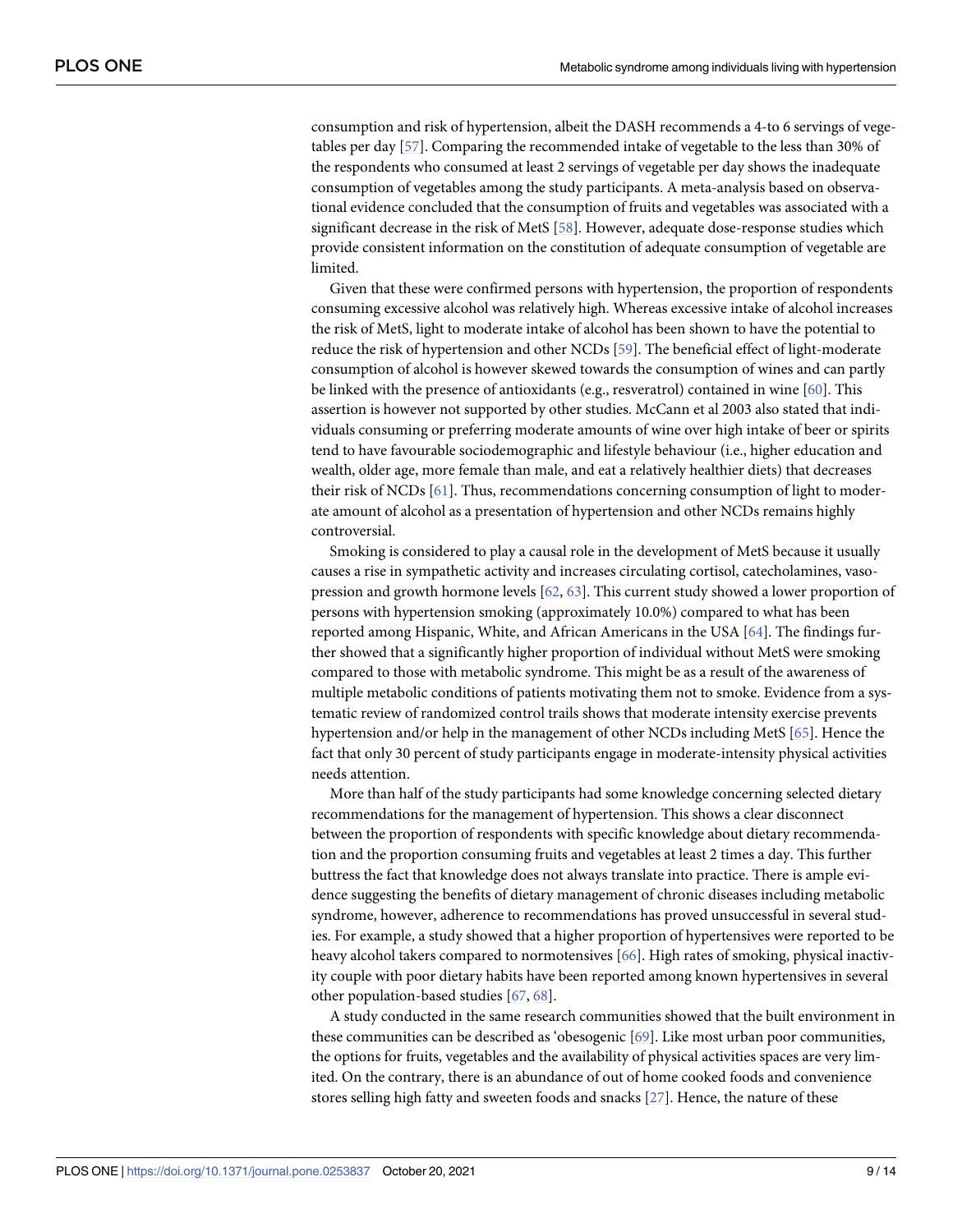<span id="page-8-0"></span>consumption and risk of hypertension, albeit the DASH recommends a 4-to 6 servings of vegetables per day [\[57\]](#page-12-0). Comparing the recommended intake of vegetable to the less than 30% of the respondents who consumed at least 2 servings of vegetable per day shows the inadequate consumption of vegetables among the study participants. A meta-analysis based on observational evidence concluded that the consumption of fruits and vegetables was associated with a significant decrease in the risk of MetS [[58](#page-12-0)]. However, adequate dose-response studies which provide consistent information on the constitution of adequate consumption of vegetable are limited.

Given that these were confirmed persons with hypertension, the proportion of respondents consuming excessive alcohol was relatively high. Whereas excessive intake of alcohol increases the risk of MetS, light to moderate intake of alcohol has been shown to have the potential to reduce the risk of hypertension and other NCDs [\[59\]](#page-12-0). The beneficial effect of light-moderate consumption of alcohol is however skewed towards the consumption of wines and can partly be linked with the presence of antioxidants (e.g., resveratrol) contained in wine [\[60\]](#page-12-0). This assertion is however not supported by other studies. McCann et al 2003 also stated that individuals consuming or preferring moderate amounts of wine over high intake of beer or spirits tend to have favourable sociodemographic and lifestyle behaviour (i.e., higher education and wealth, older age, more female than male, and eat a relatively healthier diets) that decreases their risk of NCDs [[61](#page-12-0)]. Thus, recommendations concerning consumption of light to moderate amount of alcohol as a presentation of hypertension and other NCDs remains highly controversial.

Smoking is considered to play a causal role in the development of MetS because it usually causes a rise in sympathetic activity and increases circulating cortisol, catecholamines, vasopression and growth hormone levels [\[62,](#page-12-0) [63\]](#page-12-0). This current study showed a lower proportion of persons with hypertension smoking (approximately 10.0%) compared to what has been reported among Hispanic, White, and African Americans in the USA [[64](#page-12-0)]. The findings further showed that a significantly higher proportion of individual without MetS were smoking compared to those with metabolic syndrome. This might be as a result of the awareness of multiple metabolic conditions of patients motivating them not to smoke. Evidence from a systematic review of randomized control trails shows that moderate intensity exercise prevents hypertension and/or help in the management of other NCDs including MetS [[65](#page-12-0)]. Hence the fact that only 30 percent of study participants engage in moderate-intensity physical activities needs attention.

More than half of the study participants had some knowledge concerning selected dietary recommendations for the management of hypertension. This shows a clear disconnect between the proportion of respondents with specific knowledge about dietary recommendation and the proportion consuming fruits and vegetables at least 2 times a day. This further buttress the fact that knowledge does not always translate into practice. There is ample evidence suggesting the benefits of dietary management of chronic diseases including metabolic syndrome, however, adherence to recommendations has proved unsuccessful in several studies. For example, a study showed that a higher proportion of hypertensives were reported to be heavy alcohol takers compared to normotensives [[66](#page-13-0)]. High rates of smoking, physical inactivity couple with poor dietary habits have been reported among known hypertensives in several other population-based studies [[67](#page-13-0), [68](#page-13-0)].

A study conducted in the same research communities showed that the built environment in these communities can be described as 'obesogenic [\[69](#page-13-0)]. Like most urban poor communities, the options for fruits, vegetables and the availability of physical activities spaces are very limited. On the contrary, there is an abundance of out of home cooked foods and convenience stores selling high fatty and sweeten foods and snacks [[27](#page-11-0)]. Hence, the nature of these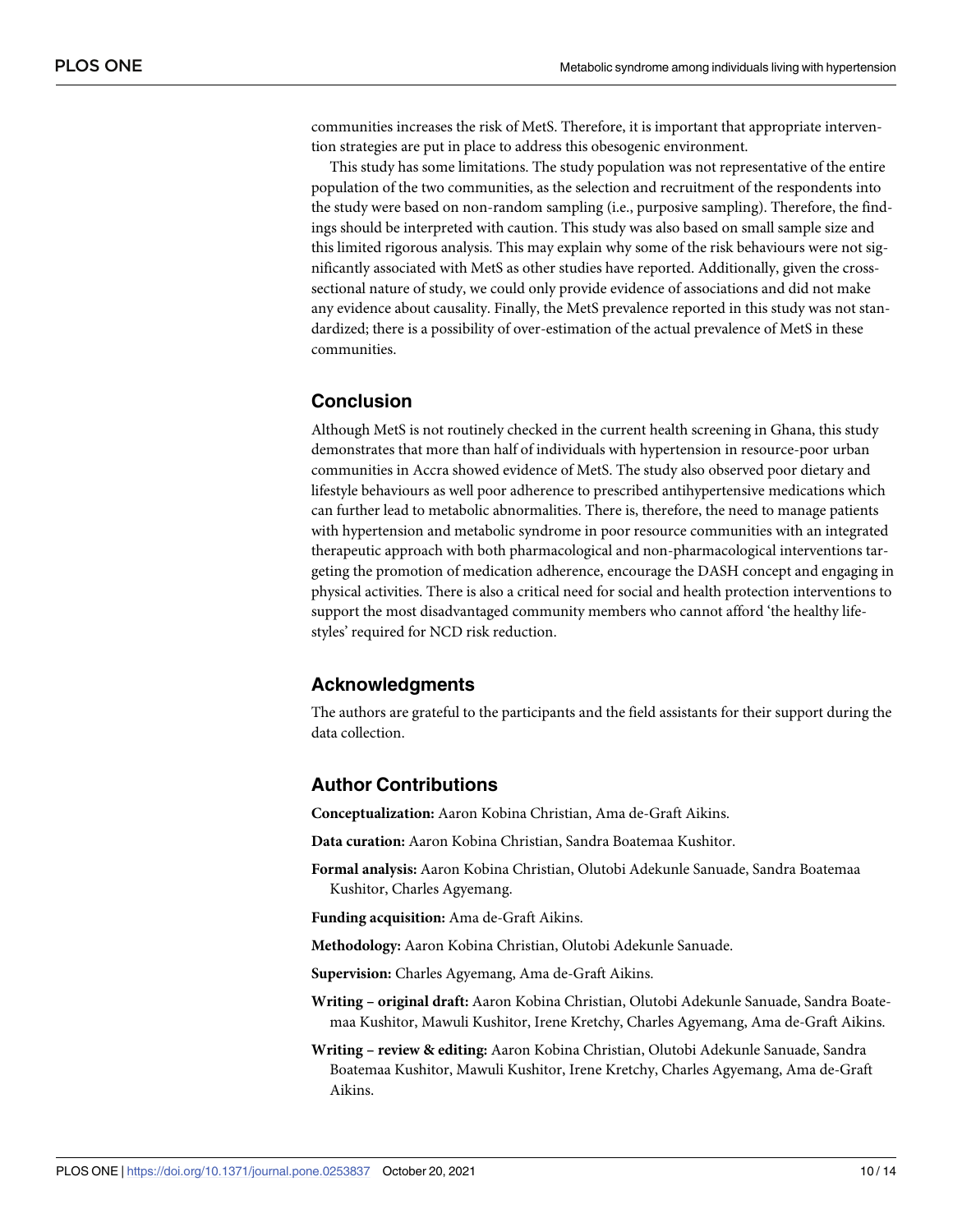communities increases the risk of MetS. Therefore, it is important that appropriate intervention strategies are put in place to address this obesogenic environment.

This study has some limitations. The study population was not representative of the entire population of the two communities, as the selection and recruitment of the respondents into the study were based on non-random sampling (i.e., purposive sampling). Therefore, the findings should be interpreted with caution. This study was also based on small sample size and this limited rigorous analysis. This may explain why some of the risk behaviours were not significantly associated with MetS as other studies have reported. Additionally, given the crosssectional nature of study, we could only provide evidence of associations and did not make any evidence about causality. Finally, the MetS prevalence reported in this study was not standardized; there is a possibility of over-estimation of the actual prevalence of MetS in these communities.

## **Conclusion**

Although MetS is not routinely checked in the current health screening in Ghana, this study demonstrates that more than half of individuals with hypertension in resource-poor urban communities in Accra showed evidence of MetS. The study also observed poor dietary and lifestyle behaviours as well poor adherence to prescribed antihypertensive medications which can further lead to metabolic abnormalities. There is, therefore, the need to manage patients with hypertension and metabolic syndrome in poor resource communities with an integrated therapeutic approach with both pharmacological and non-pharmacological interventions targeting the promotion of medication adherence, encourage the DASH concept and engaging in physical activities. There is also a critical need for social and health protection interventions to support the most disadvantaged community members who cannot afford 'the healthy lifestyles' required for NCD risk reduction.

## **Acknowledgments**

The authors are grateful to the participants and the field assistants for their support during the data collection.

## **Author Contributions**

**Conceptualization:** Aaron Kobina Christian, Ama de-Graft Aikins.

**Data curation:** Aaron Kobina Christian, Sandra Boatemaa Kushitor.

**Formal analysis:** Aaron Kobina Christian, Olutobi Adekunle Sanuade, Sandra Boatemaa Kushitor, Charles Agyemang.

**Funding acquisition:** Ama de-Graft Aikins.

**Methodology:** Aaron Kobina Christian, Olutobi Adekunle Sanuade.

**Supervision:** Charles Agyemang, Ama de-Graft Aikins.

- **Writing – original draft:** Aaron Kobina Christian, Olutobi Adekunle Sanuade, Sandra Boatemaa Kushitor, Mawuli Kushitor, Irene Kretchy, Charles Agyemang, Ama de-Graft Aikins.
- **Writing – review & editing:** Aaron Kobina Christian, Olutobi Adekunle Sanuade, Sandra Boatemaa Kushitor, Mawuli Kushitor, Irene Kretchy, Charles Agyemang, Ama de-Graft Aikins.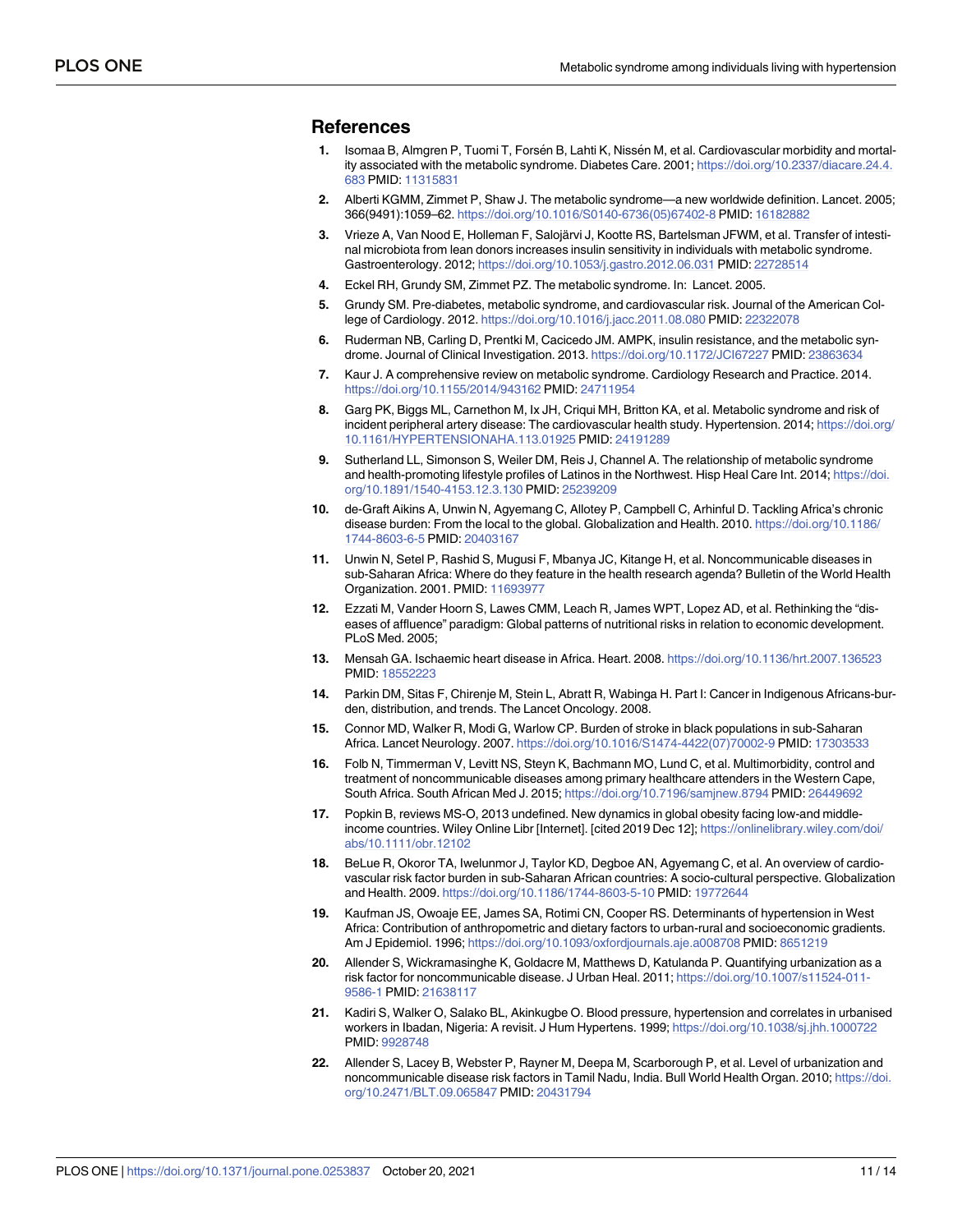#### <span id="page-10-0"></span>**References**

- **[1](#page-1-0).** Isomaa B, Almgren P, Tuomi T, Forsén B, Lahti K, Nissén M, et al. Cardiovascular morbidity and mortality associated with the metabolic syndrome. Diabetes Care. 2001; [https://doi.org/10.2337/diacare.24.4.](https://doi.org/10.2337/diacare.24.4.683) [683](https://doi.org/10.2337/diacare.24.4.683) PMID: [11315831](http://www.ncbi.nlm.nih.gov/pubmed/11315831)
- **[2](#page-2-0).** Alberti KGMM, Zimmet P, Shaw J. The metabolic syndrome—a new worldwide definition. Lancet. 2005; 366(9491):1059–62. [https://doi.org/10.1016/S0140-6736\(05\)67402-8](https://doi.org/10.1016/S0140-6736%2805%2967402-8) PMID: [16182882](http://www.ncbi.nlm.nih.gov/pubmed/16182882)
- **3.** Vrieze A, Van Nood E, Holleman F, Salojärvi J, Kootte RS, Bartelsman JFWM, et al. Transfer of intestinal microbiota from lean donors increases insulin sensitivity in individuals with metabolic syndrome. Gastroenterology. 2012; <https://doi.org/10.1053/j.gastro.2012.06.031> PMID: [22728514](http://www.ncbi.nlm.nih.gov/pubmed/22728514)
- **4.** Eckel RH, Grundy SM, Zimmet PZ. The metabolic syndrome. In: Lancet. 2005.
- **5.** Grundy SM. Pre-diabetes, metabolic syndrome, and cardiovascular risk. Journal of the American College of Cardiology. 2012. <https://doi.org/10.1016/j.jacc.2011.08.080> PMID: [22322078](http://www.ncbi.nlm.nih.gov/pubmed/22322078)
- **6.** Ruderman NB, Carling D, Prentki M, Cacicedo JM. AMPK, insulin resistance, and the metabolic syndrome. Journal of Clinical Investigation. 2013. <https://doi.org/10.1172/JCI67227> PMID: [23863634](http://www.ncbi.nlm.nih.gov/pubmed/23863634)
- **7.** Kaur J. A comprehensive review on metabolic syndrome. Cardiology Research and Practice. 2014. <https://doi.org/10.1155/2014/943162> PMID: [24711954](http://www.ncbi.nlm.nih.gov/pubmed/24711954)
- **8.** Garg PK, Biggs ML, Carnethon M, Ix JH, Criqui MH, Britton KA, et al. Metabolic syndrome and risk of incident peripheral artery disease: The cardiovascular health study. Hypertension. 2014; [https://doi.org/](https://doi.org/10.1161/HYPERTENSIONAHA.113.01925) [10.1161/HYPERTENSIONAHA.113.01925](https://doi.org/10.1161/HYPERTENSIONAHA.113.01925) PMID: [24191289](http://www.ncbi.nlm.nih.gov/pubmed/24191289)
- **[9](#page-1-0).** Sutherland LL, Simonson S, Weiler DM, Reis J, Channel A. The relationship of metabolic syndrome and health-promoting lifestyle profiles of Latinos in the Northwest. Hisp Heal Care Int. 2014; [https://doi.](https://doi.org/10.1891/1540-4153.12.3.130) [org/10.1891/1540-4153.12.3.130](https://doi.org/10.1891/1540-4153.12.3.130) PMID: [25239209](http://www.ncbi.nlm.nih.gov/pubmed/25239209)
- **[10](#page-1-0).** de-Graft Aikins A, Unwin N, Agyemang C, Allotey P, Campbell C, Arhinful D. Tackling Africa's chronic disease burden: From the local to the global. Globalization and Health. 2010. [https://doi.org/10.1186/](https://doi.org/10.1186/1744-8603-6-5) [1744-8603-6-5](https://doi.org/10.1186/1744-8603-6-5) PMID: [20403167](http://www.ncbi.nlm.nih.gov/pubmed/20403167)
- **[11](#page-1-0).** Unwin N, Setel P, Rashid S, Mugusi F, Mbanya JC, Kitange H, et al. Noncommunicable diseases in sub-Saharan Africa: Where do they feature in the health research agenda? Bulletin of the World Health Organization. 2001. PMID: [11693977](http://www.ncbi.nlm.nih.gov/pubmed/11693977)
- **12.** Ezzati M, Vander Hoorn S, Lawes CMM, Leach R, James WPT, Lopez AD, et al. Rethinking the "diseases of affluence" paradigm: Global patterns of nutritional risks in relation to economic development. PLoS Med. 2005;
- **13.** Mensah GA. Ischaemic heart disease in Africa. Heart. 2008. <https://doi.org/10.1136/hrt.2007.136523> PMID: [18552223](http://www.ncbi.nlm.nih.gov/pubmed/18552223)
- **14.** Parkin DM, Sitas F, Chirenje M, Stein L, Abratt R, Wabinga H. Part I: Cancer in Indigenous Africans-burden, distribution, and trends. The Lancet Oncology. 2008.
- **15.** Connor MD, Walker R, Modi G, Warlow CP. Burden of stroke in black populations in sub-Saharan Africa. Lancet Neurology. 2007. [https://doi.org/10.1016/S1474-4422\(07\)70002-9](https://doi.org/10.1016/S1474-4422%2807%2970002-9) PMID: [17303533](http://www.ncbi.nlm.nih.gov/pubmed/17303533)
- **[16](#page-1-0).** Folb N, Timmerman V, Levitt NS, Steyn K, Bachmann MO, Lund C, et al. Multimorbidity, control and treatment of noncommunicable diseases among primary healthcare attenders in the Western Cape, South Africa. South African Med J. 2015; <https://doi.org/10.7196/samjnew.8794> PMID: [26449692](http://www.ncbi.nlm.nih.gov/pubmed/26449692)
- **[17](#page-1-0).** Popkin B, reviews MS-O, 2013 undefined. New dynamics in global obesity facing low-and middleincome countries. Wiley Online Libr [Internet]. [cited 2019 Dec 12]; [https://onlinelibrary.wiley.com/doi/](https://onlinelibrary.wiley.com/doi/abs/10.1111/obr.12102) [abs/10.1111/obr.12102](https://onlinelibrary.wiley.com/doi/abs/10.1111/obr.12102)
- **[18](#page-1-0).** BeLue R, Okoror TA, Iwelunmor J, Taylor KD, Degboe AN, Agyemang C, et al. An overview of cardiovascular risk factor burden in sub-Saharan African countries: A socio-cultural perspective. Globalization and Health. 2009. <https://doi.org/10.1186/1744-8603-5-10> PMID: [19772644](http://www.ncbi.nlm.nih.gov/pubmed/19772644)
- **19.** Kaufman JS, Owoaje EE, James SA, Rotimi CN, Cooper RS. Determinants of hypertension in West Africa: Contribution of anthropometric and dietary factors to urban-rural and socioeconomic gradients. Am J Epidemiol. 1996; <https://doi.org/10.1093/oxfordjournals.aje.a008708> PMID: [8651219](http://www.ncbi.nlm.nih.gov/pubmed/8651219)
- **20.** Allender S, Wickramasinghe K, Goldacre M, Matthews D, Katulanda P. Quantifying urbanization as a risk factor for noncommunicable disease. J Urban Heal. 2011; [https://doi.org/10.1007/s11524-011-](https://doi.org/10.1007/s11524-011-9586-1) [9586-1](https://doi.org/10.1007/s11524-011-9586-1) PMID: [21638117](http://www.ncbi.nlm.nih.gov/pubmed/21638117)
- **21.** Kadiri S, Walker O, Salako BL, Akinkugbe O. Blood pressure, hypertension and correlates in urbanised workers in Ibadan, Nigeria: A revisit. J Hum Hypertens. 1999; <https://doi.org/10.1038/sj.jhh.1000722> PMID: [9928748](http://www.ncbi.nlm.nih.gov/pubmed/9928748)
- **22.** Allender S, Lacey B, Webster P, Rayner M, Deepa M, Scarborough P, et al. Level of urbanization and noncommunicable disease risk factors in Tamil Nadu, India. Bull World Health Organ. 2010; [https://doi.](https://doi.org/10.2471/BLT.09.065847) [org/10.2471/BLT.09.065847](https://doi.org/10.2471/BLT.09.065847) PMID: [20431794](http://www.ncbi.nlm.nih.gov/pubmed/20431794)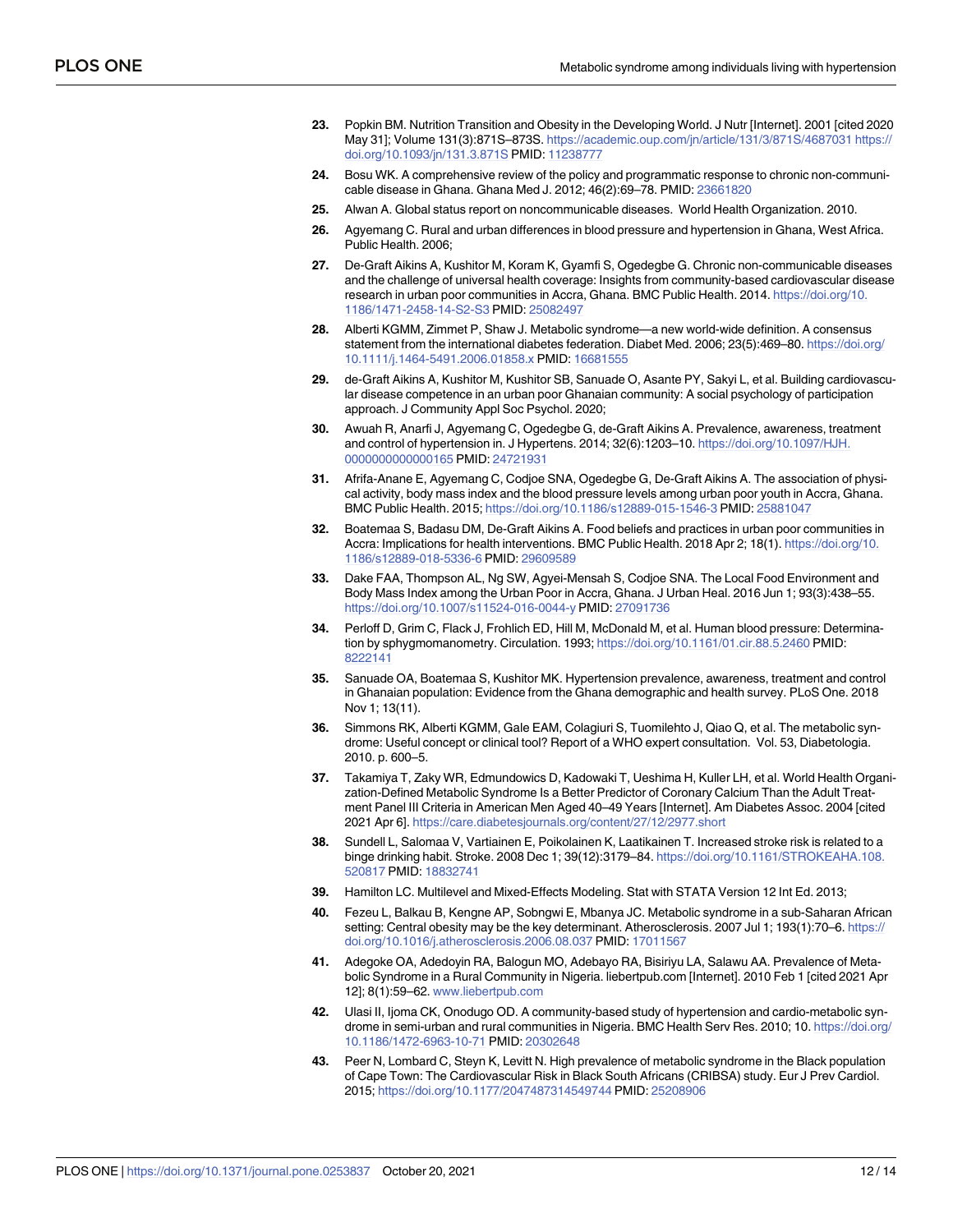- <span id="page-11-0"></span>**[23](#page-1-0).** Popkin BM. Nutrition Transition and Obesity in the Developing World. J Nutr [Internet]. 2001 [cited 2020 May 31]; Volume 131(3):871S–873S. <https://academic.oup.com/jn/article/131/3/871S/4687031> [https://](https://doi.org/10.1093/jn/131.3.871S) [doi.org/10.1093/jn/131.3.871S](https://doi.org/10.1093/jn/131.3.871S) PMID: [11238777](http://www.ncbi.nlm.nih.gov/pubmed/11238777)
- **[24](#page-1-0).** Bosu WK. A comprehensive review of the policy and programmatic response to chronic non-communicable disease in Ghana. Ghana Med J. 2012; 46(2):69–78. PMID: [23661820](http://www.ncbi.nlm.nih.gov/pubmed/23661820)
- **[25](#page-1-0).** Alwan A. Global status report on noncommunicable diseases. World Health Organization. 2010.
- **[26](#page-1-0).** Agyemang C. Rural and urban differences in blood pressure and hypertension in Ghana, West Africa. Public Health. 2006;
- **[27](#page-1-0).** De-Graft Aikins A, Kushitor M, Koram K, Gyamfi S, Ogedegbe G. Chronic non-communicable diseases and the challenge of universal health coverage: Insights from community-based cardiovascular disease research in urban poor communities in Accra, Ghana. BMC Public Health. 2014. [https://doi.org/10.](https://doi.org/10.1186/1471-2458-14-S2-S3) [1186/1471-2458-14-S2-S3](https://doi.org/10.1186/1471-2458-14-S2-S3) PMID: [25082497](http://www.ncbi.nlm.nih.gov/pubmed/25082497)
- **[28](#page-1-0).** Alberti KGMM, Zimmet P, Shaw J. Metabolic syndrome—a new world-wide definition. A consensus statement from the international diabetes federation. Diabet Med. 2006; 23(5):469–80. [https://doi.org/](https://doi.org/10.1111/j.1464-5491.2006.01858.x) [10.1111/j.1464-5491.2006.01858.x](https://doi.org/10.1111/j.1464-5491.2006.01858.x) PMID: [16681555](http://www.ncbi.nlm.nih.gov/pubmed/16681555)
- **[29](#page-1-0).** de-Graft Aikins A, Kushitor M, Kushitor SB, Sanuade O, Asante PY, Sakyi L, et al. Building cardiovascular disease competence in an urban poor Ghanaian community: A social psychology of participation approach. J Community Appl Soc Psychol. 2020;
- **[30](#page-1-0).** Awuah R, Anarfi J, Agyemang C, Ogedegbe G, de-Graft Aikins A. Prevalence, awareness, treatment and control of hypertension in. J Hypertens. 2014; 32(6):1203–10. [https://doi.org/10.1097/HJH.](https://doi.org/10.1097/HJH.0000000000000165) [0000000000000165](https://doi.org/10.1097/HJH.0000000000000165) PMID: [24721931](http://www.ncbi.nlm.nih.gov/pubmed/24721931)
- **[31](#page-3-0).** Afrifa-Anane E, Agyemang C, Codjoe SNA, Ogedegbe G, De-Graft Aikins A. The association of physical activity, body mass index and the blood pressure levels among urban poor youth in Accra, Ghana. BMC Public Health. 2015; <https://doi.org/10.1186/s12889-015-1546-3> PMID: [25881047](http://www.ncbi.nlm.nih.gov/pubmed/25881047)
- **32.** Boatemaa S, Badasu DM, De-Graft Aikins A. Food beliefs and practices in urban poor communities in Accra: Implications for health interventions. BMC Public Health. 2018 Apr 2; 18(1). [https://doi.org/10.](https://doi.org/10.1186/s12889-018-5336-6) [1186/s12889-018-5336-6](https://doi.org/10.1186/s12889-018-5336-6) PMID: [29609589](http://www.ncbi.nlm.nih.gov/pubmed/29609589)
- **[33](#page-1-0).** Dake FAA, Thompson AL, Ng SW, Agyei-Mensah S, Codjoe SNA. The Local Food Environment and Body Mass Index among the Urban Poor in Accra, Ghana. J Urban Heal. 2016 Jun 1; 93(3):438–55. <https://doi.org/10.1007/s11524-016-0044-y> PMID: [27091736](http://www.ncbi.nlm.nih.gov/pubmed/27091736)
- **[34](#page-2-0).** Perloff D, Grim C, Flack J, Frohlich ED, Hill M, McDonald M, et al. Human blood pressure: Determination by sphygmomanometry. Circulation. 1993; <https://doi.org/10.1161/01.cir.88.5.2460> PMID: [8222141](http://www.ncbi.nlm.nih.gov/pubmed/8222141)
- **[35](#page-2-0).** Sanuade OA, Boatemaa S, Kushitor MK. Hypertension prevalence, awareness, treatment and control in Ghanaian population: Evidence from the Ghana demographic and health survey. PLoS One. 2018 Nov 1; 13(11).
- **[36](#page-2-0).** Simmons RK, Alberti KGMM, Gale EAM, Colagiuri S, Tuomilehto J, Qiao Q, et al. The metabolic syndrome: Useful concept or clinical tool? Report of a WHO expert consultation. Vol. 53, Diabetologia. 2010. p. 600–5.
- **[37](#page-3-0).** Takamiya T, Zaky WR, Edmundowics D, Kadowaki T, Ueshima H, Kuller LH, et al. World Health Organization-Defined Metabolic Syndrome Is a Better Predictor of Coronary Calcium Than the Adult Treatment Panel III Criteria in American Men Aged 40–49 Years [Internet]. Am Diabetes Assoc. 2004 [cited 2021 Apr 6]. <https://care.diabetesjournals.org/content/27/12/2977.short>
- **[38](#page-3-0).** Sundell L, Salomaa V, Vartiainen E, Poikolainen K, Laatikainen T. Increased stroke risk is related to a binge drinking habit. Stroke. 2008 Dec 1; 39(12):3179–84. [https://doi.org/10.1161/STROKEAHA.108.](https://doi.org/10.1161/STROKEAHA.108.520817) [520817](https://doi.org/10.1161/STROKEAHA.108.520817) PMID: [18832741](http://www.ncbi.nlm.nih.gov/pubmed/18832741)
- **[39](#page-3-0).** Hamilton LC. Multilevel and Mixed-Effects Modeling. Stat with STATA Version 12 Int Ed. 2013;
- **[40](#page-3-0).** Fezeu L, Balkau B, Kengne AP, Sobngwi E, Mbanya JC. Metabolic syndrome in a sub-Saharan African setting: Central obesity may be the key determinant. Atherosclerosis. 2007 Jul 1; 193(1):70–6. [https://](https://doi.org/10.1016/j.atherosclerosis.2006.08.037) [doi.org/10.1016/j.atherosclerosis.2006.08.037](https://doi.org/10.1016/j.atherosclerosis.2006.08.037) PMID: [17011567](http://www.ncbi.nlm.nih.gov/pubmed/17011567)
- **[41](#page-3-0).** Adegoke OA, Adedoyin RA, Balogun MO, Adebayo RA, Bisiriyu LA, Salawu AA. Prevalence of Metabolic Syndrome in a Rural Community in Nigeria. liebertpub.com [Internet]. 2010 Feb 1 [cited 2021 Apr 12]; 8(1):59–62. [www.liebertpub.com](http://www.liebertpub.com)
- **[42](#page-3-0).** Ulasi II, Ijoma CK, Onodugo OD. A community-based study of hypertension and cardio-metabolic syndrome in semi-urban and rural communities in Nigeria. BMC Health Serv Res. 2010; 10. [https://doi.org/](https://doi.org/10.1186/1472-6963-10-71) [10.1186/1472-6963-10-71](https://doi.org/10.1186/1472-6963-10-71) PMID: [20302648](http://www.ncbi.nlm.nih.gov/pubmed/20302648)
- **[43](#page-7-0).** Peer N, Lombard C, Steyn K, Levitt N. High prevalence of metabolic syndrome in the Black population of Cape Town: The Cardiovascular Risk in Black South Africans (CRIBSA) study. Eur J Prev Cardiol. 2015; <https://doi.org/10.1177/2047487314549744> PMID: [25208906](http://www.ncbi.nlm.nih.gov/pubmed/25208906)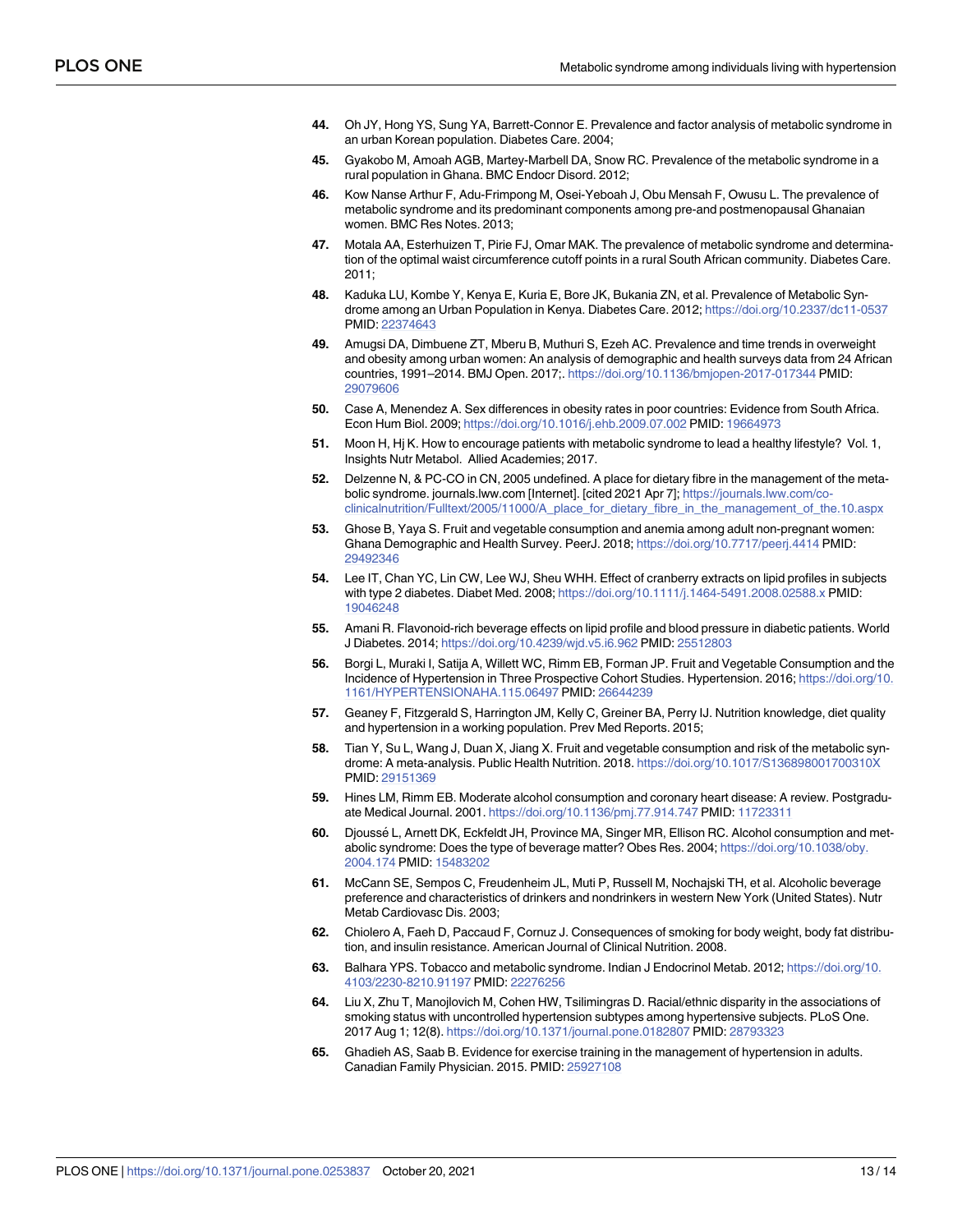- <span id="page-12-0"></span>**[44](#page-7-0).** Oh JY, Hong YS, Sung YA, Barrett-Connor E. Prevalence and factor analysis of metabolic syndrome in an urban Korean population. Diabetes Care. 2004;
- **45.** Gyakobo M, Amoah AGB, Martey-Marbell DA, Snow RC. Prevalence of the metabolic syndrome in a rural population in Ghana. BMC Endocr Disord. 2012;
- **[46](#page-7-0).** Kow Nanse Arthur F, Adu-Frimpong M, Osei-Yeboah J, Obu Mensah F, Owusu L. The prevalence of metabolic syndrome and its predominant components among pre-and postmenopausal Ghanaian women. BMC Res Notes. 2013;
- **[47](#page-7-0).** Motala AA, Esterhuizen T, Pirie FJ, Omar MAK. The prevalence of metabolic syndrome and determination of the optimal waist circumference cutoff points in a rural South African community. Diabetes Care. 2011;
- **[48](#page-7-0).** Kaduka LU, Kombe Y, Kenya E, Kuria E, Bore JK, Bukania ZN, et al. Prevalence of Metabolic Syndrome among an Urban Population in Kenya. Diabetes Care. 2012; <https://doi.org/10.2337/dc11-0537> PMID: [22374643](http://www.ncbi.nlm.nih.gov/pubmed/22374643)
- **[49](#page-7-0).** Amugsi DA, Dimbuene ZT, Mberu B, Muthuri S, Ezeh AC. Prevalence and time trends in overweight and obesity among urban women: An analysis of demographic and health surveys data from 24 African countries, 1991–2014. BMJ Open. 2017;. <https://doi.org/10.1136/bmjopen-2017-017344> PMID: [29079606](http://www.ncbi.nlm.nih.gov/pubmed/29079606)
- **[50](#page-7-0).** Case A, Menendez A. Sex differences in obesity rates in poor countries: Evidence from South Africa. Econ Hum Biol. 2009; <https://doi.org/10.1016/j.ehb.2009.07.002> PMID: [19664973](http://www.ncbi.nlm.nih.gov/pubmed/19664973)
- **[51](#page-7-0).** Moon H, Hj K. How to encourage patients with metabolic syndrome to lead a healthy lifestyle? Vol. 1, Insights Nutr Metabol. Allied Academies; 2017.
- **[52](#page-7-0).** Delzenne N, & PC-CO in CN, 2005 undefined. A place for dietary fibre in the management of the metabolic syndrome. journals.lww.com [Internet]. [cited 2021 Apr 7]; [https://journals.lww.com/co](https://journals.lww.com/co-clinicalnutrition/Fulltext/2005/11000/A_place_for_dietary_fibre_in_the_management_of_the.10.aspx)[clinicalnutrition/Fulltext/2005/11000/A\\_place\\_for\\_dietary\\_fibre\\_in\\_the\\_management\\_of\\_the.10.aspx](https://journals.lww.com/co-clinicalnutrition/Fulltext/2005/11000/A_place_for_dietary_fibre_in_the_management_of_the.10.aspx)
- **[53](#page-7-0).** Ghose B, Yaya S. Fruit and vegetable consumption and anemia among adult non-pregnant women: Ghana Demographic and Health Survey. PeerJ. 2018; <https://doi.org/10.7717/peerj.4414> PMID: [29492346](http://www.ncbi.nlm.nih.gov/pubmed/29492346)
- **[54](#page-7-0).** Lee IT, Chan YC, Lin CW, Lee WJ, Sheu WHH. Effect of cranberry extracts on lipid profiles in subjects with type 2 diabetes. Diabet Med. 2008; <https://doi.org/10.1111/j.1464-5491.2008.02588.x> PMID: [19046248](http://www.ncbi.nlm.nih.gov/pubmed/19046248)
- **[55](#page-7-0).** Amani R. Flavonoid-rich beverage effects on lipid profile and blood pressure in diabetic patients. World J Diabetes. 2014; <https://doi.org/10.4239/wjd.v5.i6.962> PMID: [25512803](http://www.ncbi.nlm.nih.gov/pubmed/25512803)
- **[56](#page-7-0).** Borgi L, Muraki I, Satija A, Willett WC, Rimm EB, Forman JP. Fruit and Vegetable Consumption and the Incidence of Hypertension in Three Prospective Cohort Studies. Hypertension. 2016; [https://doi.org/10.](https://doi.org/10.1161/HYPERTENSIONAHA.115.06497) [1161/HYPERTENSIONAHA.115.06497](https://doi.org/10.1161/HYPERTENSIONAHA.115.06497) PMID: [26644239](http://www.ncbi.nlm.nih.gov/pubmed/26644239)
- **[57](#page-8-0).** Geaney F, Fitzgerald S, Harrington JM, Kelly C, Greiner BA, Perry IJ. Nutrition knowledge, diet quality and hypertension in a working population. Prev Med Reports. 2015;
- **[58](#page-8-0).** Tian Y, Su L, Wang J, Duan X, Jiang X. Fruit and vegetable consumption and risk of the metabolic syndrome: A meta-analysis. Public Health Nutrition. 2018. <https://doi.org/10.1017/S136898001700310X> PMID: [29151369](http://www.ncbi.nlm.nih.gov/pubmed/29151369)
- **[59](#page-8-0).** Hines LM, Rimm EB. Moderate alcohol consumption and coronary heart disease: A review. Postgraduate Medical Journal. 2001. <https://doi.org/10.1136/pmj.77.914.747> PMID: [11723311](http://www.ncbi.nlm.nih.gov/pubmed/11723311)
- **[60](#page-8-0).** Djousse´ L, Arnett DK, Eckfeldt JH, Province MA, Singer MR, Ellison RC. Alcohol consumption and metabolic syndrome: Does the type of beverage matter? Obes Res. 2004; [https://doi.org/10.1038/oby.](https://doi.org/10.1038/oby.2004.174) [2004.174](https://doi.org/10.1038/oby.2004.174) PMID: [15483202](http://www.ncbi.nlm.nih.gov/pubmed/15483202)
- **[61](#page-8-0).** McCann SE, Sempos C, Freudenheim JL, Muti P, Russell M, Nochajski TH, et al. Alcoholic beverage preference and characteristics of drinkers and nondrinkers in western New York (United States). Nutr Metab Cardiovasc Dis. 2003;
- **[62](#page-8-0).** Chiolero A, Faeh D, Paccaud F, Cornuz J. Consequences of smoking for body weight, body fat distribution, and insulin resistance. American Journal of Clinical Nutrition. 2008.
- **[63](#page-8-0).** Balhara YPS. Tobacco and metabolic syndrome. Indian J Endocrinol Metab. 2012; [https://doi.org/10.](https://doi.org/10.4103/2230-8210.91197) [4103/2230-8210.91197](https://doi.org/10.4103/2230-8210.91197) PMID: [22276256](http://www.ncbi.nlm.nih.gov/pubmed/22276256)
- **[64](#page-8-0).** Liu X, Zhu T, Manojlovich M, Cohen HW, Tsilimingras D. Racial/ethnic disparity in the associations of smoking status with uncontrolled hypertension subtypes among hypertensive subjects. PLoS One. 2017 Aug 1; 12(8). <https://doi.org/10.1371/journal.pone.0182807> PMID: [28793323](http://www.ncbi.nlm.nih.gov/pubmed/28793323)
- **[65](#page-8-0).** Ghadieh AS, Saab B. Evidence for exercise training in the management of hypertension in adults. Canadian Family Physician. 2015. PMID: [25927108](http://www.ncbi.nlm.nih.gov/pubmed/25927108)